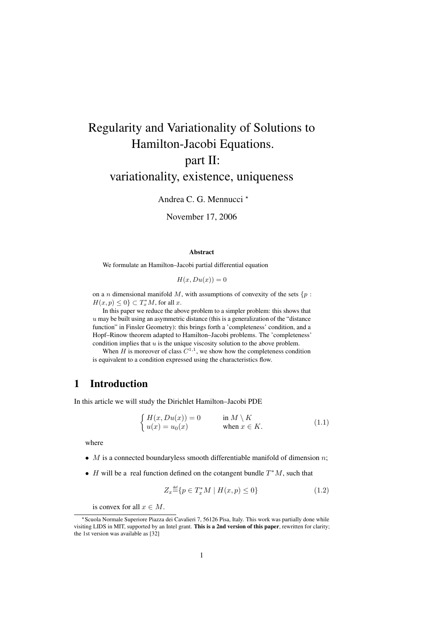# Regularity and Variationality of Solutions to Hamilton-Jacobi Equations. part II: variationality, existence, uniqueness

Andrea C. G. Mennucci<sup>\*</sup>

November 17, 2006

## Abstract

We formulate an Hamilton–Jacobi partial differential equation

$$
H(x, Du(x)) = 0
$$

on a n dimensional manifold M, with assumptions of convexity of the sets  $\{p :$  $H(x,p) \leq 0$   $\subset T_x^*M$ , for all x.

In this paper we reduce the above problem to a simpler problem: this shows that  $u$  may be built using an asymmetric distance (this is a generalization of the "distance function" in Finsler Geometry): this brings forth a 'completeness' condition, and a Hopf–Rinow theorem adapted to Hamilton–Jacobi problems. The 'completeness' condition implies that  $u$  is the unique viscosity solution to the above problem.

When H is moreover of class  $C^{1,1}$ , we show how the completeness condition is equivalent to a condition expressed using the characteristics flow.

# 1 Introduction

In this article we will study the Dirichlet Hamilton–Jacobi PDE

$$
\begin{cases}\nH(x, Du(x)) = 0 & \text{in } M \setminus K \\
u(x) = u_0(x) & \text{when } x \in K.\n\end{cases}
$$
\n(1.1)

where

- M is a connected boundaryless smooth differentiable manifold of dimension  $n$ ;
- *H* will be a real function defined on the cotangent bundle  $T^*M$ , such that

$$
Z_x \stackrel{\text{def}}{=} \{ p \in T_x^* M \mid H(x, p) \le 0 \}
$$
\n
$$
(1.2)
$$

is convex for all  $x \in M$ .

<sup>?</sup>Scuola Normale Superiore Piazza dei Cavalieri 7, 56126 Pisa, Italy. This work was partially done while visiting LIDS in MIT, supported by an Intel grant. This is a 2nd version of this paper, rewritten for clarity; the 1st version was available as [32]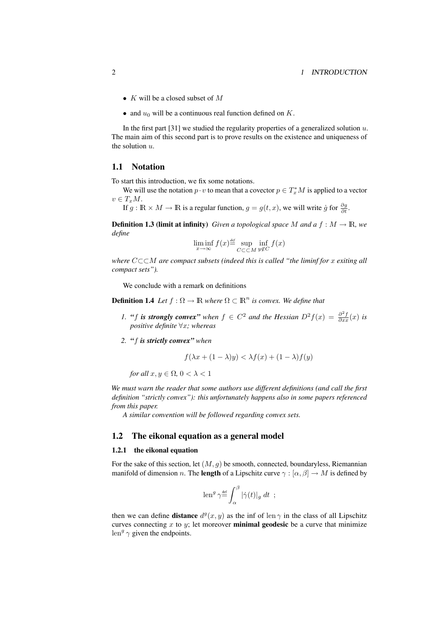- K will be a closed subset of M
- and  $u_0$  will be a continuous real function defined on K.

In the first part [31] we studied the regularity properties of a generalized solution  $u$ . The main aim of this second part is to prove results on the existence and uniqueness of the solution  $u$ .

## 1.1 Notation

To start this introduction, we fix some notations.

We will use the notation  $p \cdot v$  to mean that a covector  $p \in T_x^*M$  is applied to a vector  $v \in T_xM$ .

If  $g : \mathbb{R} \times M \to \mathbb{R}$  is a regular function,  $g = g(t, x)$ , we will write  $\dot{g}$  for  $\frac{\partial g}{\partial t}$ .

**Definition 1.3 (limit at infinity)** *Given a topological space* M and a  $f : M \to \mathbb{R}$ *, we define*

$$
\liminf_{x \to \infty} f(x) \stackrel{\text{def}}{=} \sup_{C \subset \subset M} \inf_{y \notin C} f(x)
$$

*where* C⊂⊂M *are compact subsets (indeed this is called "the liminf for* x *exiting all compact sets").*

We conclude with a remark on definitions

**Definition 1.4** Let  $f : \Omega \to \mathbb{R}$  where  $\Omega \subset \mathbb{R}^n$  is convex. We define that

- *1. "f is strongly convex" when*  $f \in C^2$  *and the Hessian*  $D^2 f(x) = \frac{\partial^2 f}{\partial x^2}(x)$  *is positive definite* ∀x*; whereas*
- *2. "*f *is strictly convex" when*

$$
f(\lambda x + (1 - \lambda)y) < \lambda f(x) + (1 - \lambda)f(y)
$$

*for all*  $x, y \in \Omega$ ,  $0 < \lambda < 1$ 

*We must warn the reader that some authors use different definitions (and call the first definition "strictly convex"): this unfortunately happens also in some papers referenced from this paper.*

*A similar convention will be followed regarding convex sets.*

## 1.2 The eikonal equation as a general model

## 1.2.1 the eikonal equation

For the sake of this section, let  $(M, q)$  be smooth, connected, boundaryless, Riemannian manifold of dimension n. The **length** of a Lipschitz curve  $\gamma : [\alpha, \beta] \to M$  is defined by

$$
\operatorname{len}^g \gamma {\,=\,} \int_\alpha^\beta |\dot\gamma(t)|_g \ dt \ ;
$$

then we can define **distance**  $d^g(x, y)$  as the inf of len  $\gamma$  in the class of all Lipschitz curves connecting x to y; let moreover **minimal geodesic** be a curve that minimize  $len^g \gamma$  given the endpoints.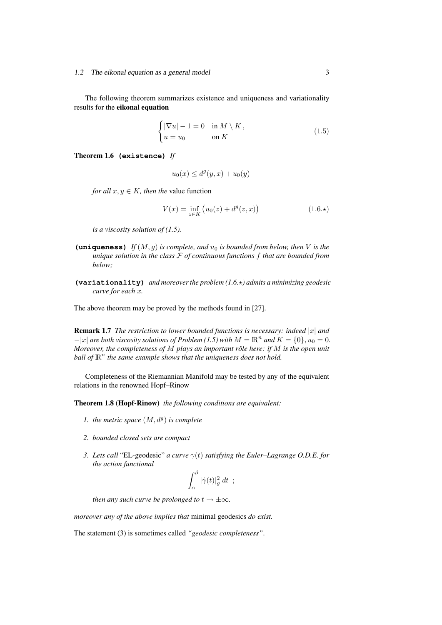The following theorem summarizes existence and uniqueness and variationality results for the eikonal equation

$$
\begin{cases} |\nabla u| - 1 = 0 & \text{in } M \setminus K, \\ u = u_0 & \text{on } K \end{cases}
$$
 (1.5)

Theorem 1.6 **(existence)** *If*

$$
u_0(x) \le d^g(y, x) + u_0(y)
$$

*for all*  $x, y \in K$ *, then the* value function

$$
V(x) = \inf_{z \in K} (u_0(z) + d^g(z, x))
$$
 (1.6.\*)

*is a viscosity solution of (1.5).*

- **(uniqueness)** *If*  $(M, g)$  *is complete, and*  $u_0$  *is bounded from below, then V is the unique solution in the class* F *of continuous functions* f *that are bounded from below;*
- **(variationality)** *and moreover the problem (1.6.*?*) admits a minimizing geodesic curve for each* x*.*

The above theorem may be proved by the methods found in [27].

Remark 1.7 *The restriction to lower bounded functions is necessary: indeed* |x| *and*  $-|x|$  *are both viscosity solutions of Problem* (1.5) with  $M = \mathbb{R}^n$  *and*  $K = \{0\}$ ,  $u_0 = 0$ . *Moreover, the completeness of M plays an important rôle here: if M is the open unit* ball of  $\mathbb{R}^n$  the same example shows that the uniqueness does not hold.

Completeness of the Riemannian Manifold may be tested by any of the equivalent relations in the renowned Hopf–Rinow

Theorem 1.8 (Hopf-Rinow) *the following conditions are equivalent:*

- 1. the metric space  $(M, d^g)$  is complete
- *2. bounded closed sets are compact*
- *3. Lets call* "EL-geodesic" *a curve* γ(t) *satisfying the Euler–Lagrange O.D.E. for the action functional*

$$
\int_{\alpha}^{\beta} |\dot{\gamma}(t)|^2_g dt \ ;
$$

*then any such curve be prolonged to*  $t \rightarrow \pm \infty$ *.* 

*moreover any of the above implies that* minimal geodesics *do exist.*

The statement (3) is sometimes called *"geodesic completeness"*.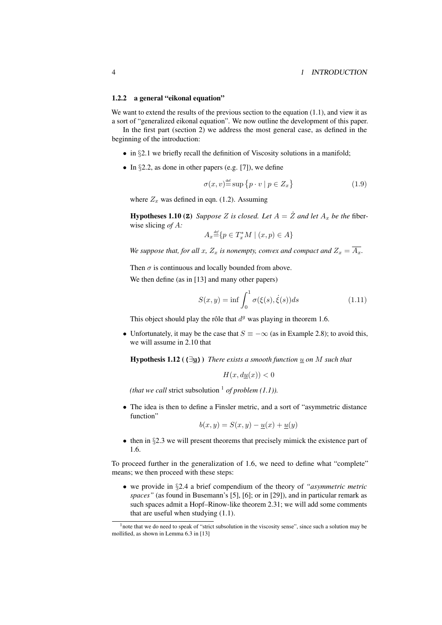#### 1.2.2 a general "eikonal equation"

We want to extend the results of the previous section to the equation  $(1.1)$ , and view it as a sort of "generalized eikonal equation". We now outline the development of this paper.

In the first part (section 2) we address the most general case, as defined in the beginning of the introduction:

- in §2.1 we briefly recall the definition of Viscosity solutions in a manifold;
- In  $\S 2.2$ , as done in other papers (e.g. [7]), we define

$$
\sigma(x, v) \stackrel{\text{def}}{=} \sup \{ p \cdot v \mid p \in Z_x \} \tag{1.9}
$$

where  $Z_x$  was defined in eqn. (1.2). Assuming

**Hypotheses 1.10 (** $\mathbf{Z}$ **)** *Suppose* Z *is closed. Let*  $A = \mathring{Z}$  *and let*  $A_x$  *be the* fiberwise slicing *of* A*:*

$$
A_x \stackrel{\text{\tiny def}}{=} \{ p \in T_x^* M \mid (x, p) \in A \}
$$

*We suppose that, for all x,*  $Z_x$  *is nonempty, convex and compact and*  $Z_x = \overline{A_x}$ *.* 

Then  $\sigma$  is continuous and locally bounded from above.

We then define (as in [13] and many other papers)

$$
S(x,y) = \inf \int_0^1 \sigma(\xi(s), \dot{\xi}(s))ds \qquad (1.11)
$$

This object should play the rôle that  $d^g$  was playing in theorem 1.6.

• Unfortunately, it may be the case that  $S \equiv -\infty$  (as in Example 2.8); to avoid this, we will assume in 2.10 that

**Hypothesis 1.12** ( $(\exists u)$ ) *There exists a smooth function*  $u$  *on M* such that

$$
H(x, d\underline{u}(x)) < 0
$$

*(that we call strict subsolution*  $\frac{1}{1}$  *of problem (1.1)).* 

• The idea is then to define a Finsler metric, and a sort of "asymmetric distance function"

$$
b(x,y) = S(x,y) - \underline{u}(x) + \underline{u}(y)
$$

• then in §2.3 we will present theorems that precisely mimick the existence part of 1.6.

To proceed further in the generalization of 1.6, we need to define what "complete" means; we then proceed with these steps:

• we provide in §2.4 a brief compendium of the theory of *"asymmetric metric spaces"* (as found in Busemann's [5], [6]; or in [29]), and in particular remark as such spaces admit a Hopf–Rinow-like theorem 2.31; we will add some comments that are useful when studying (1.1).

<sup>&</sup>lt;sup>1</sup>note that we do need to speak of "strict subsolution in the viscosity sense", since such a solution may be mollified, as shown in Lemma 6.3 in [13]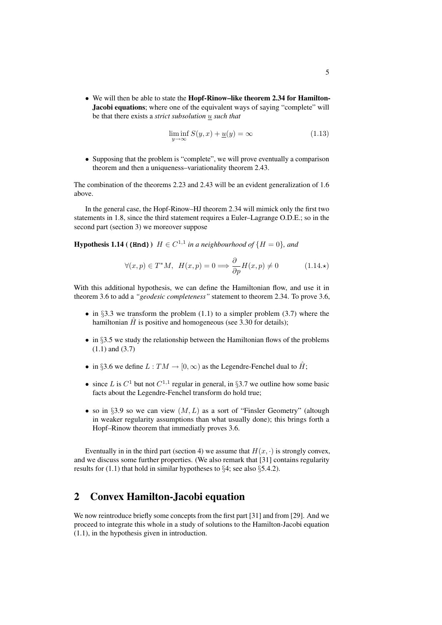• We will then be able to state the Hopf-Rinow–like theorem 2.34 for Hamilton-Jacobi equations; where one of the equivalent ways of saying "complete" will be that there exists a *strict subsolution* u *such that*

$$
\liminf_{y \to \infty} S(y, x) + \underline{u}(y) = \infty \tag{1.13}
$$

• Supposing that the problem is "complete", we will prove eventually a comparison theorem and then a uniqueness–variationality theorem 2.43.

The combination of the theorems 2.23 and 2.43 will be an evident generalization of 1.6 above.

In the general case, the Hopf-Rinow–HJ theorem 2.34 will mimick only the first two statements in 1.8, since the third statement requires a Euler–Lagrange O.D.E.; so in the second part (section 3) we moreover suppose

**Hypothesis 1.14 ((Hnd)**)  $H \in C^{1,1}$  in a neighbourhood of  $\{H = 0\}$ , and

$$
\forall (x, p) \in T^*M, \ H(x, p) = 0 \Longrightarrow \frac{\partial}{\partial p} H(x, p) \neq 0 \tag{1.14.}
$$

With this additional hypothesis, we can define the Hamiltonian flow, and use it in theorem 3.6 to add a *"geodesic completeness"* statement to theorem 2.34. To prove 3.6,

- in §3.3 we transform the problem  $(1.1)$  to a simpler problem  $(3.7)$  where the hamiltonian  $\hat{H}$  is positive and homogeneous (see 3.30 for details);
- in  $§3.5$  we study the relationship between the Hamiltonian flows of the problems (1.1) and (3.7)
- in §3.6 we define  $L: TM \rightarrow [0, \infty)$  as the Legendre-Fenchel dual to  $\hat{H}$ ;
- since L is  $C^1$  but not  $C^{1,1}$  regular in general, in §3.7 we outline how some basic facts about the Legendre-Fenchel transform do hold true;
- so in §3.9 so we can view  $(M, L)$  as a sort of "Finsler Geometry" (altough in weaker regularity assumptions than what usually done); this brings forth a Hopf–Rinow theorem that immediatly proves 3.6.

Eventually in in the third part (section 4) we assume that  $H(x, \cdot)$  is strongly convex, and we discuss some further properties. (We also remark that [31] contains regularity results for  $(1.1)$  that hold in similar hypotheses to §4; see also §5.4.2).

# 2 Convex Hamilton-Jacobi equation

We now reintroduce briefly some concepts from the first part [31] and from [29]. And we proceed to integrate this whole in a study of solutions to the Hamilton-Jacobi equation (1.1), in the hypothesis given in introduction.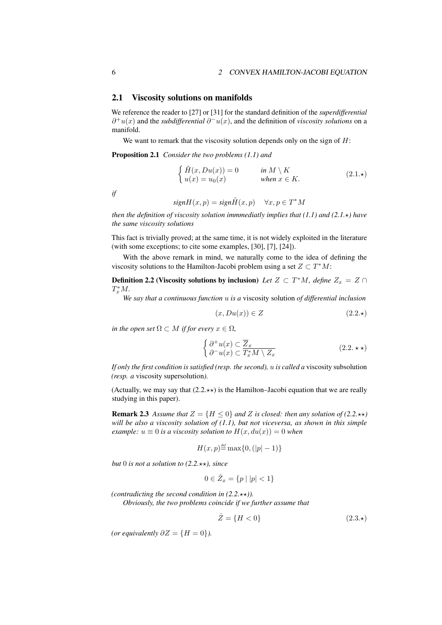## 2.1 Viscosity solutions on manifolds

We reference the reader to [27] or [31] for the standard definition of the *superdifferential*  $\partial^+ u(x)$  and the *subdifferential*  $\partial^- u(x)$ , and the definition of *viscosity solutions* on a manifold.

We want to remark that the viscosity solution depends only on the sign of  $H$ :

Proposition 2.1 *Consider the two problems (1.1) and*

$$
\begin{cases}\n\tilde{H}(x, Du(x)) = 0 & \text{in } M \setminus K \\
u(x) = u_0(x) & \text{when } x \in K.\n\end{cases}
$$
\n(2.1.\*)

*if*

$$
signH(x, p) = sign\tilde{H}(x, p) \quad \forall x, p \in T^*M
$$

*then the definition of viscosity solution immmediatly implies that*  $(1.1)$  *and*  $(2.1.*)$  *have the same viscosity solutions*

This fact is trivially proved; at the same time, it is not widely exploited in the literature (with some exceptions; to cite some examples, [30], [7], [24]).

With the above remark in mind, we naturally come to the idea of defining the viscosity solutions to the Hamilton-Jacobi problem using a set  $Z \subset T^*M$ :

**Definition 2.2 (Viscosity solutions by inclusion)** *Let*  $Z \subset T^*M$ , *define*  $Z_x = Z \cap T^*M$  $T_x^*M$ .

*We say that a continuous function* u *is a* viscosity solution *of differential inclusion*

$$
(x, Du(x)) \in Z \tag{2.2.}\star)
$$

*in the open set*  $\Omega \subset M$  *if for every*  $x \in \Omega$ *,* 

$$
\begin{cases}\n\partial^+ u(x) \subset \overline{Z}_x \\
\partial^- u(x) \subset \overline{T_x^* M \setminus Z_x}\n\end{cases} \tag{2.2.}\n\star\star
$$

*If only the first condition is satisfied (resp. the second),* u *is called a* viscosity subsolution *(resp. a* viscosity supersolution*).*

(Actually, we may say that  $(2.2.**)$ ) is the Hamilton–Jacobi equation that we are really studying in this paper).

**Remark 2.3** Assume that  $Z = \{H \leq 0\}$  and Z is closed: then any solution of (2.2. $\star\star$ ) *will be also a viscosity solution of (1.1), but not viceversa, as shown in this simple example:*  $u \equiv 0$  *is a viscosity solution to*  $H(x, du(x)) = 0$  *when* 

$$
H(x,p) \stackrel{\text{def}}{=} \max\{0, (|p|-1)\}
$$

*but* 0 *is not a solution to*  $(2.2.**)$ *, since* 

$$
0 \in \mathring{Z}_x = \{ p \mid |p| < 1 \}
$$

*(contradicting the second condition in*  $(2.2.**)$ *).* 

*Obviously, the two problems coincide if we further assume that*

$$
\overset{\circ}{Z} = \{H < 0\} \tag{2.3.}\star
$$

*(or equivalently*  $\partial Z = \{H = 0\}$ *).*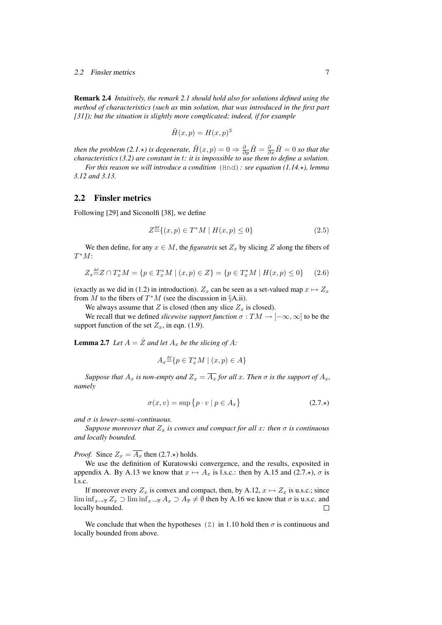#### 2.2 Finsler metrics 7

Remark 2.4 *Intuitively, the remark 2.1 should hold also for solutions defined using the method of characteristics (such as* min *solution, that was introduced in the first part [31]); but the situation is slightly more complicated; indeed, if for example*

$$
\tilde{H}(x,p) = H(x,p)^3
$$

*then the problem (2.1.* $\star$ *) is degenerate,*  $\tilde{H}(x,p) = 0 \Rightarrow \frac{\partial}{\partial p}\tilde{H} = \frac{\partial}{\partial x}\tilde{H} = 0$  *so that the* 

*characteristics (3.2) are constant in* t*: it is impossible to use them to define a solution. For this reason we will introduce a condition* (Hnd): see equation (1.14. $\star$ ), lemma *3.12 and 3.13.*

## 2.2 Finsler metrics

Following [29] and Siconolfi [38], we define

$$
Z^{\text{def}}\{(x,p) \in T^*M \mid H(x,p) \le 0\}
$$
\n(2.5)

We then define, for any  $x \in M$ , the *figuratrix* set  $Z_x$  by slicing Z along the fibers of  $T^*M$ :

$$
Z_x \stackrel{\text{def}}{=} Z \cap T_x^* M = \{ p \in T_x^* M \mid (x, p) \in Z \} = \{ p \in T_x^* M \mid H(x, p) \le 0 \} \tag{2.6}
$$

(exactly as we did in (1.2) in introduction).  $Z_x$  can be seen as a set-valued map  $x \mapsto Z_x$ from M to the fibers of  $T^*M$  (see the discussion in §A.ii).

We always assume that Z is closed (then any slice  $Z_x$  is closed).

We recall that we defined *slicewise support function*  $\sigma : TM \to [-\infty, \infty]$  to be the support function of the set  $Z_x$ , in eqn. (1.9).

**Lemma 2.7** Let  $A = \mathbb{Z}$  and let  $A_x$  be the slicing of A:

$$
A_x \stackrel{\text{\tiny def}}{=} \{ p \in T_x^* M \mid (x, p) \in A \}
$$

*Suppose that*  $A_x$  *is non-empty and*  $Z_x = \overline{A_x}$  *for all* x*. Then*  $\sigma$  *is the support of*  $A_x$ *, namely*

$$
\sigma(x, v) = \sup \{ p \cdot v \mid p \in A_x \}
$$
\n(2.7.\*)

*and* σ *is lower–semi–continuous.*

*Suppose moreover that*  $Z_x$  *is convex and compact for all x: then*  $\sigma$  *is continuous and locally bounded.*

*Proof.* Since  $Z_x = \overline{A_x}$  then (2.7. $\star$ ) holds.

We use the definition of Kuratowski convergence, and the results, exposited in appendix A. By A.13 we know that  $x \mapsto A_x$  is l.s.c.: then by A.15 and (2.7. $\star$ ),  $\sigma$  is l.s.c.

If moreover every  $Z_x$  is convex and compact, then, by A.12,  $x \mapsto Z_x$  is u.s.c.; since  $\liminf_{x\to\overline{x}} Z_x \supset \liminf_{x\to\overline{x}} A_x \supset A_{\overline{x}} \neq \emptyset$  then by A.16 we know that  $\sigma$  is u.s.c. and locally bounded.

We conclude that when the hypotheses (Z) in 1.10 hold then  $\sigma$  is continuous and locally bounded from above.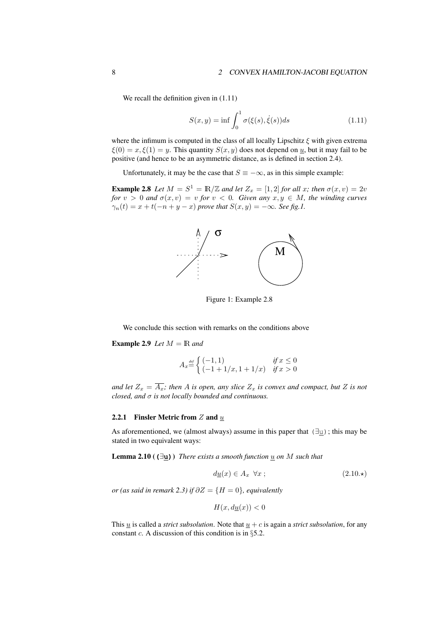We recall the definition given in  $(1.11)$ 

$$
S(x,y) = \inf \int_0^1 \sigma(\xi(s), \dot{\xi}(s)) ds \qquad (1.11)
$$

where the infimum is computed in the class of all locally Lipschitz  $\xi$  with given extrema  $\xi(0) = x, \xi(1) = y$ . This quantity  $S(x, y)$  does not depend on <u>u</u>, but it may fail to be positive (and hence to be an asymmetric distance, as is defined in section 2.4).

Unfortunately, it may be the case that  $S \equiv -\infty$ , as in this simple example:

**Example 2.8** Let  $M = S^1 = \mathbb{R}/\mathbb{Z}$  and let  $Z_x = [1, 2]$  for all x; then  $\sigma(x, v) = 2v$ *for*  $v > 0$  *and*  $\sigma(x, v) = v$  *for*  $v < 0$ *. Given any*  $x, y \in M$ *, the winding curves*  $\gamma_n(t) = x + t(-n + y - x)$  *prove that*  $S(x, y) = -\infty$ *. See fig.1.* 



Figure 1: Example 2.8

We conclude this section with remarks on the conditions above

**Example 2.9** *Let*  $M = \mathbb{R}$  *and* 

$$
A_x \stackrel{\text{def}}{=} \begin{cases} (-1,1) & \text{if } x \le 0\\ (-1+1/x, 1+1/x) & \text{if } x > 0 \end{cases}
$$

*and let*  $Z_x = \overline{A_x}$ *; then* A *is open, any slice*  $Z_x$  *is convex and compact, but* Z *is not closed, and* σ *is not locally bounded and continuous.*

## 2.2.1 Finsler Metric from  $Z$  and  $\underline{u}$

As aforementioned, we (almost always) assume in this paper that  $(\exists u)$ ; this may be stated in two equivalent ways:

**Lemma 2.10 (** $(\exists u)$ ) *There exists a smooth function*  $u$  *on*  $M$  *such that* 

$$
d\underline{u}(x) \in A_x \quad \forall x \; ; \tag{2.10.4}
$$

*or (as said in remark 2.3) if*  $\partial Z = \{H = 0\}$ *, equivalently* 

$$
H(x, d\underline{u}(x)) < 0
$$

This  $\underline{u}$  is called a *strict subsolution*. Note that  $\underline{u} + c$  is again a *strict subsolution*, for any constant c. A discussion of this condition is in  $\S$ 5.2.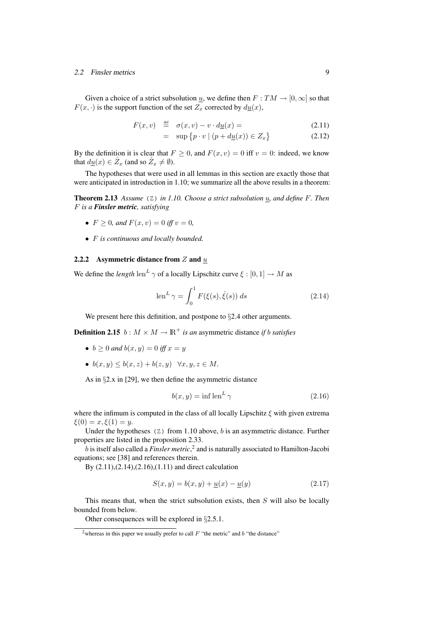#### 2.2 Finsler metrics 9

Given a choice of a strict subsolution  $\underline{u}$ , we define then  $F : TM \rightarrow [0, \infty]$  so that  $F(x, \cdot)$  is the support function of the set  $Z_x$  corrected by  $d\underline{u}(x)$ ,

$$
F(x, v) \stackrel{\text{def}}{=} \sigma(x, v) - v \cdot d\underline{u}(x) = \tag{2.11}
$$

$$
= \sup \{ p \cdot v \mid (p + d\underline{u}(x)) \in Z_x \} \tag{2.12}
$$

By the definition it is clear that  $F \ge 0$ , and  $F(x, v) = 0$  iff  $v = 0$ : indeed, we know that  $du(x) \in \overset{\circ}{Z}_x$  (and so  $\overset{\circ}{Z}_x \neq \emptyset$ ).

The hypotheses that were used in all lemmas in this section are exactly those that were anticipated in introduction in 1.10; we summarize all the above results in a theorem:

Theorem 2.13 *Assume* (Z) *in 1.10. Choose a strict subsolution* u*, and define* F*. Then* F *is a Finsler metric, satisfying*

- $F > 0$ *, and*  $F(x, v) = 0$  *iff*  $v = 0$ *,*
- F *is continuous and locally bounded.*

## 2.2.2 Asymmetric distance from  $Z$  and  $\overline{u}$

We define the *length*  $\text{len}^L \gamma$  of a locally Lipschitz curve  $\xi : [0,1] \to M$  as

$$
\operatorname{len}^L \gamma = \int_0^1 F(\xi(s), \dot{\xi}(s)) ds \qquad (2.14)
$$

We present here this definition, and postpone to  $\S 2.4$  other arguments.

**Definition 2.15**  $b : M \times M \to \mathbb{R}^+$  *is an* asymmetric distance *if b satisfies* 

- $b > 0$  *and*  $b(x, y) = 0$  *iff*  $x = y$
- $b(x, y) \leq b(x, z) + b(z, y) \quad \forall x, y, z \in M$ .

As in §2.x in [29], we then define the asymmetric distance

$$
b(x,y) = \inf \operatorname{len}^L \gamma \tag{2.16}
$$

where the infimum is computed in the class of all locally Lipschitz  $\xi$  with given extrema  $\xi(0) = x, \xi(1) = y.$ 

Under the hypotheses  $(Z)$  from 1.10 above, b is an asymmetric distance. Further properties are listed in the proposition 2.33.

b is itself also called a *Finsler metric*, 2 and is naturally associated to Hamilton-Jacobi equations; see [38] and references therein.

By (2.11),(2.14),(2.16),(1.11) and direct calculation

$$
S(x, y) = b(x, y) + \underline{u}(x) - \underline{u}(y)
$$
\n(2.17)

This means that, when the strict subsolution exists, then  $S$  will also be locally bounded from below.

Other consequences will be explored in §2.5.1.

<sup>&</sup>lt;sup>2</sup>whereas in this paper we usually prefer to call  $F$  "the metric" and  $b$  "the distance"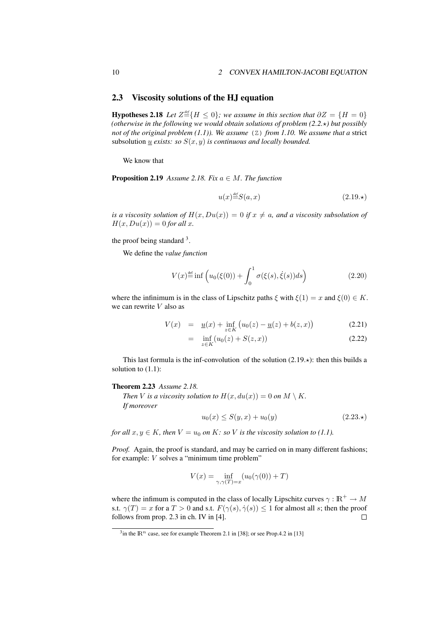## 2.3 Viscosity solutions of the HJ equation

**Hypotheses 2.18** *Let*  $Z \stackrel{\text{def}}{=} \{H \le 0\}$ ; we assume in this section that  $\partial Z = \{H = 0\}$ *(otherwise in the following we would obtain solutions of problem (2.2.*?*) but possibly not of the original problem (1.1)). We assume* (Z) *from 1.10. We assume that a* strict subsolution  $\underline{u}$  *exists: so*  $S(x, y)$  *is continuous and locally bounded.* 

We know that

**Proposition 2.19** *Assume 2.18. Fix*  $a \in M$ *. The function* 

$$
u(x) \stackrel{\text{def}}{=} S(a, x) \tag{2.19.}
$$

*is a viscosity solution of*  $H(x, Du(x)) = 0$  *if*  $x \neq a$ *, and a viscosity subsolution of*  $H(x, Du(x)) = 0$  *for all x*.

the proof being standard  $3$ .

We define the *value function*

$$
V(x) \stackrel{\text{def}}{=} \inf \left( u_0(\xi(0)) + \int_0^1 \sigma(\xi(s), \dot{\xi}(s)) ds \right) \tag{2.20}
$$

where the infinimum is in the class of Lipschitz paths  $\xi$  with  $\xi(1) = x$  and  $\xi(0) \in K$ . we can rewrite  $V$  also as

$$
V(x) = \underline{u}(x) + \inf_{z \in K} (u_0(z) - \underline{u}(z) + b(z, x))
$$
\n(2.21)

$$
= \inf_{z \in K} (u_0(z) + S(z, x)) \tag{2.22}
$$

This last formula is the inf-convolution of the solution  $(2.19.*)$ : then this builds a solution to  $(1.1)$ :

#### Theorem 2.23 *Assume 2.18.*

*Then V is a viscosity solution to*  $H(x, du(x)) = 0$  *on*  $M \setminus K$ . *If moreover*

$$
u_0(x) \le S(y, x) + u_0(y) \tag{2.23.}
$$

*for all*  $x, y \in K$ *, then*  $V = u_0$  *on*  $K$ *: so*  $V$  *is the viscosity solution to (1.1).* 

*Proof.* Again, the proof is standard, and may be carried on in many different fashions; for example: V solves a "minimum time problem"

$$
V(x) = \inf_{\gamma,\gamma(T)=x} (u_0(\gamma(0)) + T)
$$

where the infimum is computed in the class of locally Lipschitz curves  $\gamma : \mathbb{R}^+ \to M$ s.t.  $\gamma(T) = x$  for a  $T > 0$  and s.t.  $F(\gamma(s), \dot{\gamma}(s)) \le 1$  for almost all s; then the proof follows from prop. 2.3 in ch. IV in [4].  $\Box$ 

<sup>&</sup>lt;sup>3</sup>in the  $\mathbb{R}^n$  case, see for example Theorem 2.1 in [38]; or see Prop.4.2 in [13]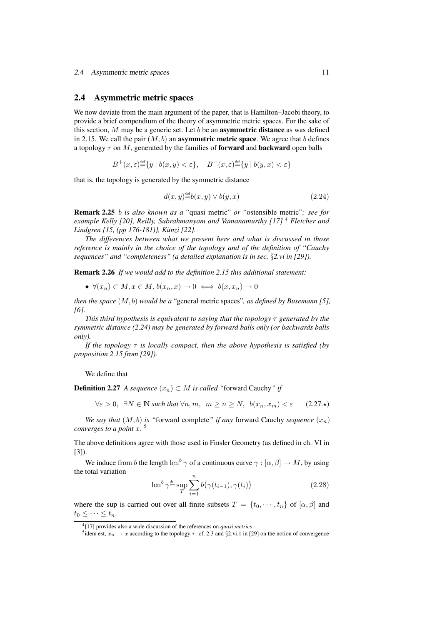## 2.4 Asymmetric metric spaces

We now deviate from the main argument of the paper, that is Hamilton–Jacobi theory, to provide a brief compendium of the theory of asymmetric metric spaces. For the sake of this section,  $M$  may be a generic set. Let  $b$  be an **asymmetric distance** as was defined in 2.15. We call the pair  $(M, b)$  an **asymmetric metric space**. We agree that b defines a topology  $\tau$  on M, generated by the families of **forward** and **backward** open balls

 $B^+(x,\varepsilon) \stackrel{\text{def}}{=} \{y \mid b(x,y) < \varepsilon\}, \quad B^-(x,\varepsilon) \stackrel{\text{def}}{=} \{y \mid b(y,x) < \varepsilon\}$ 

that is, the topology is generated by the symmetric distance

$$
d(x,y) \stackrel{\text{def}}{=} b(x,y) \lor b(y,x) \tag{2.24}
$$

Remark 2.25 b *is also known as a* "quasi metric" *or* "ostensible metric"*; see for example Kelly [20], Reilly, Subrahmanyam and Vamanamurthy [17]* <sup>4</sup> *Fletcher and Lindgren [15, (pp 176-181)], Kunzi [22]. ¨*

*The differences between what we present here and what is discussed in those reference is mainly in the choice of the topology and of the definition of "Cauchy sequences" and "completeness" (a detailed explanation is in sec.* §*2.vi in [29]).*

Remark 2.26 *If we would add to the definition 2.15 this additional statement:*

•  $\forall (x_n) \subset M, x \in M, b(x_n, x) \to 0 \iff b(x, x_n) \to 0$ 

*then the space* (M, b) *would be a* "general metric spaces"*, as defined by Busemann [5], [6].*

*This third hypothesis is equivalent to saying that the topology* τ *generated by the symmetric distance (2.24) may be generated by forward balls only (or backwards balls only).*

*If the topology*  $\tau$  *is locally compact, then the above hypothesis is satisfied (by proposition 2.15 from [29]).*

We define that

**Definition 2.27** *A sequence*  $(x_n)$  ⊂ *M is called* "forward Cauchy" *if* 

 $\forall \varepsilon > 0$ ,  $\exists N \in \mathbb{N}$  *such that*  $\forall n, m, m \geq n \geq N$ ,  $b(x_n, x_m) < \varepsilon$  (2.27.\*)

*We say that*  $(M, b)$  *is "forward complete" if any forward Cauchy sequence*  $(x_n)$ *converges to a point* x*.* 5

The above definitions agree with those used in Finsler Geometry (as defined in ch. VI in [3]).

We induce from b the length len<sup>b</sup>  $\gamma$  of a continuous curve  $\gamma : [\alpha, \beta] \to M$ , by using the total variation

$$
\operatorname{len}^b \gamma \stackrel{\text{def}}{=} \sup_{T} \sum_{i=1}^n b(\gamma(t_{i-1}), \gamma(t_i))
$$
\n(2.28)

where the sup is carried out over all finite subsets  $T = \{t_0, \dots, t_n\}$  of  $[\alpha, \beta]$  and  $t_0 \leq \cdots \leq t_n$ .

<sup>4</sup> [17] provides also a wide discussion of the references on *quasi metrics*

<sup>&</sup>lt;sup>5</sup>idem est,  $x_n \to x$  according to the topology  $\tau$ : cf. 2.3 and §2.vi.1 in [29] on the notion of convergence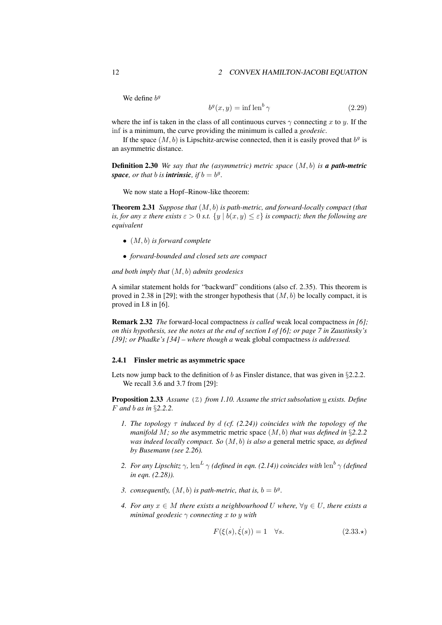#### 12 2 CONVEX HAMILTON-JACOBI EQUATION

We define  $b<sup>g</sup>$ 

$$
b^g(x, y) = \inf \operatorname{len}^b \gamma \tag{2.29}
$$

where the inf is taken in the class of all continuous curves  $\gamma$  connecting x to y. If the inf is a minimum, the curve providing the minimum is called a *geodesic*.

If the space  $(M, b)$  is Lipschitz-arcwise connected, then it is easily proved that  $b<sup>g</sup>$  is an asymmetric distance.

Definition 2.30 *We say that the (asymmetric) metric space* (M, b) *is a path-metric* space, or that **b** is **intrinsic**, if  $b = b^g$ .

We now state a Hopf–Rinow-like theorem:

Theorem 2.31 *Suppose that* (M, b) *is path-metric, and forward-locally compact (that is, for any* x *there exists*  $\varepsilon > 0$  *s.t.*  $\{y \mid b(x, y) \leq \varepsilon\}$  *is compact); then the following are equivalent*

- (M, b) *is forward complete*
- *forward-bounded and closed sets are compact*

*and both imply that* (M, b) *admits geodesics*

A similar statement holds for "backward" conditions (also cf. 2.35). This theorem is proved in 2.38 in [29]; with the stronger hypothesis that  $(M, b)$  be locally compact, it is proved in I.8 in [6].

Remark 2.32 *The* forward-local compactness *is called* weak local compactness *in [6]; on this hypothesis, see the notes at the end of section I of [6]; or page 7 in Zaustinsky's [39]; or Phadke's [34] – where though a* weak global compactness *is addressed.*

## 2.4.1 Finsler metric as asymmetric space

Lets now jump back to the definition of  $b$  as Finsler distance, that was given in §2.2.2. We recall 3.6 and 3.7 from [29]:

Proposition 2.33 *Assume* (Z) *from 1.10. Assume the strict subsolution* u *exists. Define* F *and* b *as in* §*2.2.2.*

- *1. The topology* τ *induced by* d *(cf. (2.24)) coincides with the topology of the manifold* M*; so the* asymmetric metric space (M, b) *that was defined in* §*2.2.2 was indeed locally compact. So* (M, b) *is also a* general metric space*, as defined by Busemann (see 2.26).*
- 2. *For any Lipschitz*  $\gamma$ , len<sup>L</sup>  $\gamma$  *(defined in eqn. (2.14)) coincides with* len<sup>b</sup>  $\gamma$  *(defined in eqn. (2.28)).*
- 3. consequently,  $(M, b)$  is path-metric, that is,  $b = b^g$ .
- *4. For any*  $x \in M$  *there exists a neighbourhood* U where,  $\forall y \in U$ *, there exists a minimal geodesic* γ *connecting* x *to* y *with*

$$
F(\xi(s), \dot{\xi}(s)) = 1 \quad \forall s. \tag{2.33.}\star
$$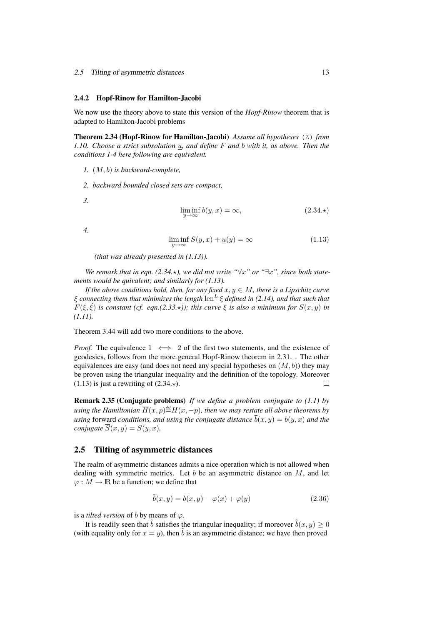#### 2.5 Tilting of asymmetric distances 13

#### 2.4.2 Hopf-Rinow for Hamilton-Jacobi

We now use the theory above to state this version of the *Hopf-Rinow* theorem that is adapted to Hamilton-Jacobi problems

Theorem 2.34 (Hopf-Rinow for Hamilton-Jacobi) *Assume all hypotheses* (Z) *from 1.10. Choose a strict subsolution* u*, and define* F *and* b *with it, as above. Then the conditions 1-4 here following are equivalent.*

- *1.* (M, b) *is backward-complete,*
- *2. backward bounded closed sets are compact,*
- *3.*

$$
\liminf_{y \to \infty} b(y, x) = \infty,\tag{2.34.}\star
$$

*4.*

$$
\liminf_{y \to \infty} S(y, x) + \underline{u}(y) = \infty \tag{1.13}
$$

*(that was already presented in (1.13)).*

*We remark that in eqn.* (2.34. $\star$ ), we did not write " $\forall x$ " or " $\exists x$ ", since both state*ments would be quivalent; and similarly for (1.13).*

*If the above conditions hold, then, for any fixed*  $x, y \in M$ *, there is a Lipschitz curve*  $\xi$  connecting them that minimizes the length  $\mathrm{len}^L \xi$  defined in (2.14), and that such that  $F(\xi, \dot{\xi})$  *is constant (cf. eqn.(2.33.\*)); this curve*  $\xi$  *is also a minimum for*  $S(x, y)$  *in (1.11).*

Theorem 3.44 will add two more conditions to the above.

*Proof.* The equivalence  $1 \iff 2$  of the first two statements, and the existence of geodesics, follows from the more general Hopf-Rinow theorem in 2.31. . The other equivalences are easy (and does not need any special hypotheses on  $(M, b)$ ) they may be proven using the triangular inequality and the definition of the topology. Moreover  $(1.13)$  is just a rewriting of  $(2.34.*)$ .  $\Box$ 

Remark 2.35 (Conjugate problems) *If we define a problem conjugate to (1.1) by* using the Hamiltonian  $\overline{H}(x,p)$   $\stackrel{\text{\tiny def}}{=}$   $H(x,-p)$ , then we may restate all above theorems by *using* forward *conditions, and using the conjugate distance*  $\overline{b}(x, y) = b(y, x)$  *and the conjugate*  $\overline{S}(x, y) = S(y, x)$ *.* 

## 2.5 Tilting of asymmetric distances

The realm of asymmetric distances admits a nice operation which is not allowed when dealing with symmetric metrics. Let  $b$  be an asymmetric distance on  $M$ , and let  $\varphi : M \to \mathbb{R}$  be a function; we define that

$$
\tilde{b}(x, y) = b(x, y) - \varphi(x) + \varphi(y)
$$
\n(2.36)

is a *tilted version* of b by means of  $\varphi$ .

It is readily seen that  $\tilde{b}$  satisfies the triangular inequality; if moreover  $\tilde{b}(x, y) \ge 0$ (with equality only for  $x = y$ ), then b is an asymmetric distance; we have then proved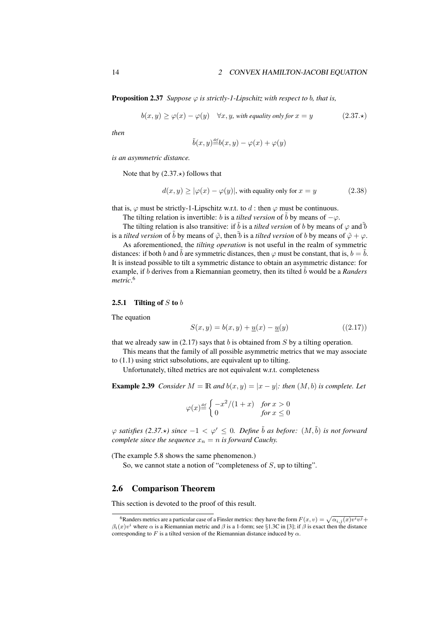**Proposition 2.37** *Suppose*  $\varphi$  *is strictly-1-Lipschitz with respect to b, that is,* 

$$
b(x, y) \ge \varphi(x) - \varphi(y) \quad \forall x, y, \text{ with equality only for } x = y \tag{2.37.}
$$

*then*

$$
\tilde{b}(x,y) \stackrel{\text{\tiny def}}{=} b(x,y) - \varphi(x) + \varphi(y)
$$

*is an asymmetric distance.*

Note that by  $(2.37 \star)$  follows that

$$
d(x, y) \ge |\varphi(x) - \varphi(y)|
$$
, with equality only for  $x = y$  (2.38)

that is,  $\varphi$  must be strictly-1-Lipschitz w.r.t. to d : then  $\varphi$  must be continuous.

The tilting relation is invertible: b is a *tilted version* of  $\tilde{b}$  by means of  $-\varphi$ .

The tilting relation is also transitive: if  $\tilde{b}$  is a *tilted version* of b by means of  $\varphi$  and  $\tilde{b}$ is a *tilted version* of  $\tilde{b}$  by means of  $\tilde{\varphi}$ , then  $\tilde{b}$  is a *tilted version* of b by means of  $\tilde{\varphi} + \varphi$ .

As aforementioned, the *tilting operation* is not useful in the realm of symmetric distances: if both b and b are symmetric distances, then  $\varphi$  must be constant, that is,  $b = b$ . It is instead possible to tilt a symmetric distance to obtain an asymmetric distance: for example, if b derives from a Riemannian geometry, then its tilted  $\tilde{b}$  would be a *Randers metric*. 6

#### 2.5.1 Tilting of  $S$  to  $b$

The equation

$$
S(x, y) = b(x, y) + \underline{u}(x) - \underline{u}(y)
$$
\n(2.17)

that we already saw in  $(2.17)$  says that b is obtained from S by a tilting operation.

This means that the family of all possible asymmetric metrics that we may associate to (1.1) using strict subsolutions, are equivalent up to tilting.

Unfortunately, tilted metrics are not equivalent w.r.t. completeness

**Example 2.39** *Consider*  $M = \mathbb{R}$  *and*  $b(x, y) = |x - y|$ *: then*  $(M, b)$  *is complete. Let* 

$$
\varphi(x) \stackrel{\text{\tiny def}}{=} \begin{cases} -x^2/(1+x) & \text{for } x > 0\\ 0 & \text{for } x \le 0 \end{cases}
$$

 $\varphi$  *satisfies* (2.37. $\star$ ) since  $-1 < \varphi' \leq 0$ . Define  $\ddot{b}$  as before:  $(M, \ddot{b})$  *is not forward complete since the sequence*  $x_n = n$  *is forward Cauchy.* 

(The example 5.8 shows the same phenomenon.)

So, we cannot state a notion of "completeness of  $S$ , up to tilting".

## 2.6 Comparison Theorem

This section is devoted to the proof of this result.

<sup>&</sup>lt;sup>6</sup>Randers metrics are a particular case of a Finsler metrics: they have the form  $F(x, v) = \sqrt{\alpha_{i,j}(x)v^iv^j} +$  $\beta_i(x)v^i$  where  $\alpha$  is a Riemannian metric and  $\beta$  is a 1-form; see §1.3C in [3]; if  $\beta$  is exact then the distance corresponding to F is a tilted version of the Riemannian distance induced by  $\alpha$ .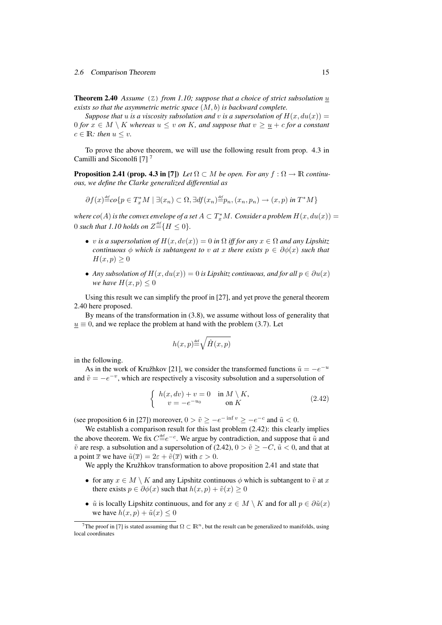Theorem 2.40 *Assume* (Z) *from 1.10; suppose that a choice of strict subsolution* u *exists so that the asymmetric metric space* (M, b) *is backward complete.*

*Suppose that* u *is a viscosity subsolution and* v *is a supersolution of*  $H(x, du(x)) =$ 0 *for*  $x \in M \setminus K$  *whereas*  $u \le v$  *on* K, and suppose that  $v \ge \underline{u} + c$  *for* a constant  $c \in \mathbb{R}$ : then  $u \leq v$ .

To prove the above theorem, we will use the following result from prop. 4.3 in Camilli and Siconolfi [7]<sup>7</sup>

**Proposition 2.41 (prop. 4.3 in [7])** *Let*  $\Omega \subset M$  *be open. For any*  $f : \Omega \to \mathbb{R}$  *continuous, we define the Clarke generalized differential as*

$$
\partial f(x) \stackrel{\text{def}}{=} \text{co}\{p \in T_x^*M \mid \exists (x_n) \subset \Omega, \exists df(x_n) \stackrel{\text{def}}{=} p_n, (x_n, p_n) \to (x, p) \text{ in } T^*M\}
$$

where  $co(A)$  is the convex envelope of a set  $A\subset T^*_xM.$  Consider a problem  $H(x,du(x))=0$ 0 such that 1.10 holds on  $Z \stackrel{\text{\tiny def}}{=} \{H \le 0\}.$ 

- v *is a supersolution of*  $H(x, dv(x)) = 0$  *in*  $\Omega$  *iff for any*  $x \in \Omega$  *and any Lipshitz continuous*  $\phi$  *which is subtangent to v at x there exists*  $p \in \partial \phi(x)$  *such that*  $H(x,p) \geq 0$
- *Any subsolution of*  $H(x, du(x)) = 0$  *is Lipshitz continuous, and for all*  $p \in \partial u(x)$ *we have*  $H(x, p) \leq 0$

Using this result we can simplify the proof in [27], and yet prove the general theorem 2.40 here proposed.

By means of the transformation in (3.8), we assume without loss of generality that  $u \equiv 0$ , and we replace the problem at hand with the problem (3.7). Let

$$
h(x,p) \stackrel{\text{\tiny def}}{=} \sqrt{\hat{H}(x,p)}
$$

in the following.

As in the work of Kružhkov [21], we consider the transformed functions  $\tilde{u} = -e^{-u}$ and  $\tilde{v} = -e^{-v}$ , which are respectively a viscosity subsolution and a supersolution of

$$
\begin{cases}\nh(x, dv) + v = 0 & \text{in } M \setminus K, \\
v = -e^{-u_0} & \text{on } K\n\end{cases}
$$
\n(2.42)

(see proposition 6 in [27]) moreover,  $0 > \tilde{v} \ge -e^{-\inf v} \ge -e^{-c}$  and  $\tilde{u} < 0$ .

We establish a comparison result for this last problem (2.42): this clearly implies the above theorem. We fix  $C = e^{-c}$ . We argue by contradiction, and suppose that  $\tilde{u}$  and  $\tilde{v}$  are resp. a subsolution and a supersolution of (2.42),  $0 > \tilde{v} > -C$ ,  $\tilde{u} < 0$ , and that at a point  $\bar{x}$  we have  $\tilde{u}(\bar{x}) = 2\varepsilon + \tilde{v}(\bar{x})$  with  $\varepsilon > 0$ .

We apply the Kružhkov transformation to above proposition 2.41 and state that

- for any  $x \in M \setminus K$  and any Lipshitz continuous  $\phi$  which is subtangent to  $\tilde{v}$  at x there exists  $p \in \partial \phi(x)$  such that  $h(x, p) + \tilde{v}(x) \geq 0$
- $\tilde{u}$  is locally Lipshitz continuous, and for any  $x \in M \setminus K$  and for all  $p \in \partial \tilde{u}(x)$ we have  $h(x, p) + \tilde{u}(x) \leq 0$

<sup>&</sup>lt;sup>7</sup>The proof in [7] is stated assuming that  $\Omega \subset \mathbb{R}^n$ , but the result can be generalized to manifolds, using local coordinates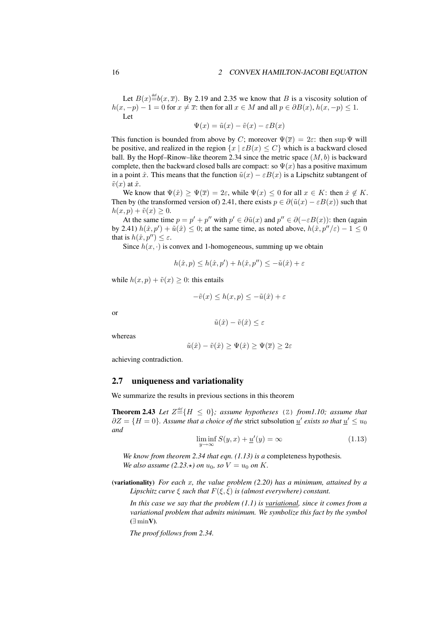Let  $B(x) \stackrel{\text{def}}{=} b(x, \overline{x})$ . By 2.19 and 2.35 we know that B is a viscosity solution of  $h(x, -p) - 1 = 0$  for  $x \neq \overline{x}$ : then for all  $x \in M$  and all  $p \in \partial B(x)$ ,  $h(x, -p) \leq 1$ . Let

$$
\Psi(x) = \tilde{u}(x) - \tilde{v}(x) - \varepsilon B(x)
$$

This function is bounded from above by C; moreover  $\Psi(\overline{x}) = 2\varepsilon$ : then sup  $\Psi$  will be positive, and realized in the region  $\{x \mid \varepsilon B(x) \leq C\}$  which is a backward closed ball. By the Hopf–Rinow–like theorem 2.34 since the metric space  $(M, b)$  is backward complete, then the backward closed balls are compact: so  $\Psi(x)$  has a positive maximum in a point  $\hat{x}$ . This means that the function  $\tilde{u}(x) - \varepsilon B(x)$  is a Lipschitz subtangent of  $\tilde{v}(x)$  at  $\hat{x}$ .

We know that  $\Psi(\hat{x}) \ge \Psi(\overline{x}) = 2\varepsilon$ , while  $\Psi(x) \le 0$  for all  $x \in K$ : then  $\hat{x} \notin K$ . Then by (the transformed version of) 2.41, there exists  $p \in \partial(\tilde{u}(x) - \varepsilon B(x))$  such that  $h(x, p) + \tilde{v}(x) \geq 0.$ 

At the same time  $p = p' + p''$  with  $p' \in \partial \tilde{u}(x)$  and  $p'' \in \partial (-\varepsilon B(x))$ : then (again by 2.41)  $h(\hat{x}, p') + \tilde{u}(\hat{x}) \leq 0$ ; at the same time, as noted above,  $h(\hat{x}, p''/\varepsilon) - 1 \leq 0$ that is  $h(\hat{x}, p'') \leq \varepsilon$ .

Since  $h(x, \cdot)$  is convex and 1-homogeneous, summing up we obtain

$$
h(\hat{x}, p) \le h(\hat{x}, p') + h(\hat{x}, p'') \le -\tilde{u}(\hat{x}) + \varepsilon
$$

while  $h(x, p) + \tilde{v}(x) \geq 0$ : this entails

$$
-\tilde{v}(x) \le h(x, p) \le -\tilde{u}(\hat{x}) + \varepsilon
$$

or

$$
\tilde{u}(\hat{x}) - \tilde{v}(\hat{x}) \le \varepsilon
$$

whereas

$$
\tilde{u}(\hat{x}) - \tilde{v}(\hat{x}) \ge \Psi(\hat{x}) \ge \Psi(\overline{x}) \ge 2\varepsilon
$$

achieving contradiction.

## 2.7 uniqueness and variationality

We summarize the results in previous sections in this theorem

**Theorem 2.43** Let  $Z \stackrel{\text{def}}{=} \{H \leq 0\}$ ; assume hypotheses (Z) from1.10; assume that  $\partial Z = \{H = 0\}$ . Assume that a choice of the strict subsolution <u>u'</u> exists so that <u>u'</u>  $\leq u_0$ *and*

$$
\liminf_{y \to \infty} S(y, x) + \underline{u}'(y) = \infty \tag{1.13}
$$

*We know from theorem 2.34 that eqn. (1.13) is a* completeness hypothesis*. We also assume* (2.23. $\star$ ) on  $u_0$ *, so*  $V = u_0$  on K.

(variationality) *For each* x*, the value problem (2.20) has a minimum, attained by a Lipschitz curve*  $\xi$  *such that*  $F(\xi, \xi)$  *is (almost everywhere) constant.* 

*In this case we say that the problem (1.1) is variational, since it comes from a variational problem that admits minimum. We symbolize this fact by the symbol* (∃ minV)*.*

*The proof follows from 2.34.*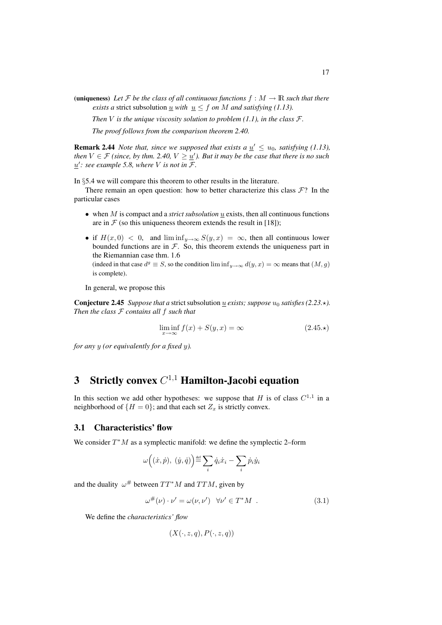(uniqueness) Let F be the class of all continuous functions  $f : M \to \mathbb{R}$  such that there *exists a* strict subsolution  $\underline{u}$  *with*  $\underline{u} \leq f$  *on M and satisfying (1.13).* 

*Then*  $V$  *is the unique viscosity solution to problem* (1.1), *in the class*  $\mathcal{F}$ *.* 

*The proof follows from the comparison theorem 2.40.*

**Remark 2.44** *Note that, since we supposed that exists a*  $\underline{u}' \le u_0$ *, satisfying (1.13),* then  $V \in \mathcal{F}$  (since, by thm. 2.40,  $V \geq \underline{u}'$ ). But it may be the case that there is no such  $\underline{u}'$ : see example 5.8, where V is not in F.

In §5.4 we will compare this theorem to other results in the literature.

There remain an open question: how to better characterize this class  $\mathcal{F}$ ? In the particular cases

- $\bullet$  when M is compact and a *strict subsolution*  $\underline{u}$  exists, then all continuous functions are in  $F$  (so this uniqueness theorem extends the result in [18]);
- if  $H(x, 0) < 0$ , and  $\liminf_{y\to\infty} S(y, x) = \infty$ , then all continuous lower bounded functions are in  $F$ . So, this theorem extends the uniqueness part in the Riemannian case thm. 1.6

(indeed in that case  $d^g \equiv S$ , so the condition  $\liminf_{y\to\infty} d(y, x) = \infty$  means that  $(M, g)$ is complete).

In general, we propose this

**Conjecture 2.45** *Suppose that a strict subsolution u exists; suppose*  $u_0$  *satisfies* (2.23. $\star$ ). *Then the class* F *contains all* f *such that*

$$
\liminf_{x \to \infty} f(x) + S(y, x) = \infty \tag{2.45.}
$$

*for any* y *(or equivalently for a fixed* y*).*

# 3 Strictly convex  $C^{1,1}$  Hamilton-Jacobi equation

In this section we add other hypotheses: we suppose that H is of class  $C^{1,1}$  in a neighborhood of  $\{H = 0\}$ ; and that each set  $Z_x$  is strictly convex.

## 3.1 Characteristics' flow

We consider  $T^*M$  as a symplectic manifold: we define the symplectic 2–form

$$
\omega\Big((\dot x,\dot p),~(\dot y,\dot q)\Big) {\stackrel{\text{def}}{=}} \sum_i \dot q_i \dot x_i - \sum_i \dot p_i \dot y_i
$$

and the duality  $\omega^{\#}$  between  $TT^{*}M$  and  $TTM$ , given by

$$
\omega^{\#}(\nu) \cdot \nu' = \omega(\nu, \nu') \quad \forall \nu' \in T^*M \quad . \tag{3.1}
$$

We define the *characteristics' flow*

$$
(X(\cdot,z,q),P(\cdot,z,q))
$$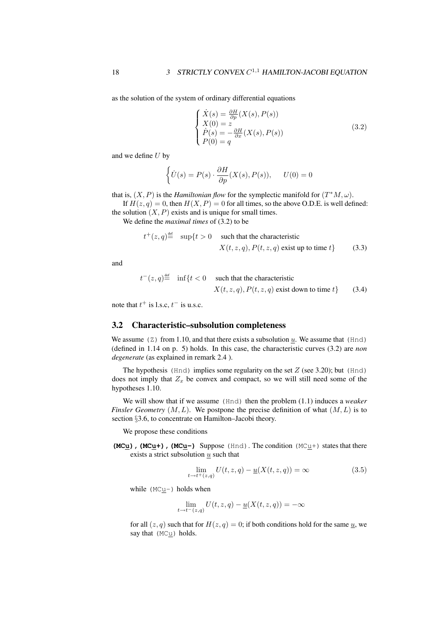as the solution of the system of ordinary differential equations

$$
\begin{cases}\n\dot{X}(s) = \frac{\partial H}{\partial p}(X(s), P(s)) \\
X(0) = z \\
\dot{P}(s) = -\frac{\partial H}{\partial x}(X(s), P(s)) \\
P(0) = q\n\end{cases}
$$
\n(3.2)

and we define  $U$  by

$$
\left\{\dot{U}(s) = P(s) \cdot \frac{\partial H}{\partial p}(X(s), P(s)), \quad U(0) = 0\right\}
$$

that is,  $(X, P)$  is the *Hamiltonian flow* for the symplectic manifold for  $(T^*M, \omega)$ .

If  $H(z, q) = 0$ , then  $H(X, P) = 0$  for all times, so the above O.D.E. is well defined: the solution  $(X, P)$  exists and is unique for small times.

We define the *maximal times* of (3.2) to be

$$
t^+(z,q) \stackrel{\text{def}}{=} \sup\{t > 0 \quad \text{such that the characteristic} \quad X(t,z,q), P(t,z,q) \text{ exist up to time } t\}
$$
 (3.3)

and

$$
t^-(z,q) \stackrel{\text{def}}{=} \inf\{t < 0 \quad \text{such that the characteristic}
$$
\n
$$
X(t,z,q), P(t,z,q) \text{ exist down to time } t\} \tag{3.4}
$$

note that  $t^+$  is l.s.c,  $t^-$  is u.s.c.

## 3.2 Characteristic–subsolution completeness

We assume  $(Z)$  from 1.10, and that there exists a subsolution u. We assume that (Hnd) (defined in 1.14 on p. 5) holds. In this case, the characteristic curves (3.2) are *non degenerate* (as explained in remark 2.4 ).

The hypothesis (Hnd) implies some regularity on the set  $Z$  (see 3.20); but (Hnd) does not imply that  $Z_x$  be convex and compact, so we will still need some of the hypotheses 1.10.

We will show that if we assume (Hnd) then the problem (1.1) induces a *weaker Finsler Geometry*  $(M, L)$ . We postpone the precise definition of what  $(M, L)$  is to section §3.6, to concentrate on Hamilton–Jacobi theory.

We propose these conditions

**(MCu),(MCu+),(MCu-)** Suppose (Hnd). The condition (MCu+) states that there exists a strict subsolution  $u$  such that

$$
\lim_{t \to t^+(z,q)} U(t,z,q) - \underline{u}(X(t,z,q)) = \infty
$$
\n(3.5)

while (MCu-) holds when

$$
\lim_{t \to t^-(z,q)} U(t,z,q) - \underline{u}(X(t,z,q)) = -\infty
$$

for all  $(z, q)$  such that for  $H(z, q) = 0$ ; if both conditions hold for the same  $u$ , we say that (MCu) holds.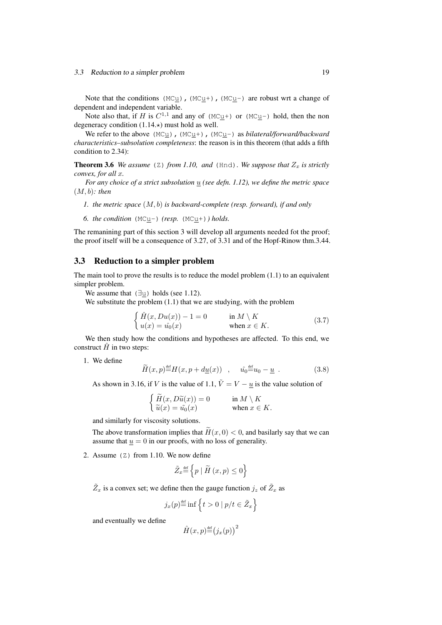Note that the conditions (MC $u$ ), (MC $u$ +), (MC $u$ -) are robust wrt a change of</u></u></u> dependent and independent variable.

Note also that, if H is  $C^{1,1}$  and any of (MC $\underline{u}$ +) or (MC $\underline{u}$ -) hold, then the non degeneracy condition  $(1.14.)$  must hold as well.

We refer to the above (MCu), (MCu+), (MCu-) as *bilateral/forward/backward characteristics–subsolution completeness*: the reason is in this theorem (that adds a fifth condition to 2.34):

**Theorem 3.6** *We assume* ( $Z$ ) *from 1.10, and* ( $Hnd$ )*. We suppose that*  $Z<sub>x</sub>$  *is strictly convex, for all* x*.*

For any choice of a strict subsolution  $\underline{u}$  (see defn. 1.12), we define the metric space (M, b)*: then*

- *1. the metric space* (M, b) *is backward-complete (resp. forward), if and only*
- *6. the condition* (MCu-) *(resp.* (MCu+)*) holds.*

The remanining part of this section 3 will develop all arguments needed fot the proof; the proof itself will be a consequence of 3.27, of 3.31 and of the Hopf-Rinow thm.3.44.

## 3.3 Reduction to a simpler problem

The main tool to prove the results is to reduce the model problem (1.1) to an equivalent simpler problem.

We assume that  $(\exists u)$  holds (see 1.12).

We substitute the problem (1.1) that we are studying, with the problem

$$
\begin{cases}\n\hat{H}(x, Du(x)) - 1 = 0 & \text{in } M \setminus K \\
u(x) = \hat{u_0}(x) & \text{when } x \in K.\n\end{cases}
$$
\n(3.7)

We then study how the conditions and hypotheses are affected. To this end, we construct  $\hat{H}$  in two steps:

1. We define

$$
\widetilde{H}(x,p) \stackrel{\text{def}}{=} H(x,p + d\underline{u}(x)) \quad , \quad \hat{u_0} \stackrel{\text{def}}{=} u_0 - \underline{u} \quad . \tag{3.8}
$$

As shown in 3.16, if V is the value of 1.1,  $\tilde{V} = V - \underline{u}$  is the value solution of

$$
\begin{cases} \widetilde{H}(x, D\widetilde{u}(x)) = 0 & \text{in } M \setminus K \\ \widetilde{u}(x) = \widetilde{u_0}(x) & \text{when } x \in K. \end{cases}
$$

and similarly for viscosity solutions.

The above transformation implies that  $H(x, 0) < 0$ , and basilarly say that we can assume that  $u = 0$  in our proofs, with no loss of generality.

2. Assume (Z) from 1.10. We now define

$$
\tilde{Z}_x {\, \stackrel{\text{\tiny def}}{=}\, } \Big\{ p \mid \tilde{H}\left(x, p\right) \leq 0 \Big\}
$$

 $\tilde{Z}_x$  is a convex set; we define then the gauge function  $j_z$  of  $\tilde{Z}_x$  as

$$
j_x(p) \stackrel{\text{def}}{=} \inf \left\{ t > 0 \mid p/t \in \tilde{Z}_x \right\}
$$

and eventually we define

$$
\hat{H}(x,p) \stackrel{\text{def}}{=} (j_x(p))^2
$$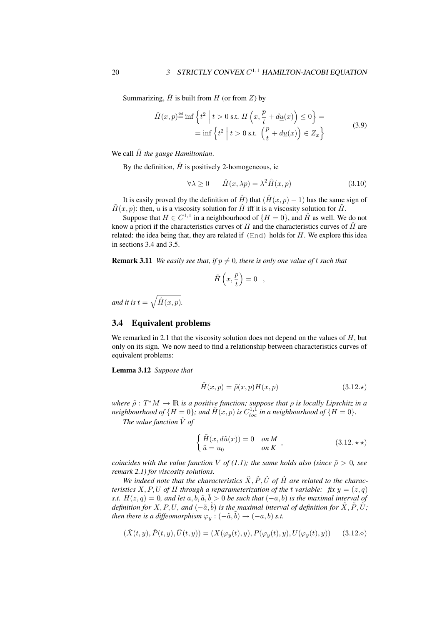Summarizing,  $\hat{H}$  is built from H (or from Z) by

$$
\hat{H}(x,p) \stackrel{\text{def}}{=} \inf \left\{ t^2 \mid t > 0 \text{ s.t. } H\left(x, \frac{p}{t} + d\underline{u}(x)\right) \le 0 \right\} =
$$
\n
$$
= \inf \left\{ t^2 \mid t > 0 \text{ s.t. } \left(\frac{p}{t} + d\underline{u}(x)\right) \in Z_x \right\} \tag{3.9}
$$

We call  $\hat{H}$  the gauge Hamiltonian.

By the definition,  $\hat{H}$  is positively 2-homogeneous, ie

$$
\forall \lambda \ge 0 \qquad \hat{H}(x, \lambda p) = \lambda^2 \hat{H}(x, p) \tag{3.10}
$$

It is easily proved (by the definition of  $\hat{H}$ ) that  $(\hat{H}(x, p) - 1)$  has the same sign of  $\tilde{H}(x, p)$ : then, u is a viscosity solution for  $\hat{H}$  iff it is a viscosity solution for  $\tilde{H}$ .

Suppose that  $H \in C^{1,1}$  in a neighbourhood of  $\{H = 0\}$ , and  $\hat{H}$  as well. We do not know a priori if the characteristics curves of H and the characteristics curves of  $\hat{H}$  are related: the idea being that, they are related if  $(Hnd)$  holds for  $H$ . We explore this idea in sections 3.4 and 3.5.

**Remark 3.11** *We easily see that, if*  $p \neq 0$ *, there is only one value of t such that* 

$$
\tilde{H}\left(x,\frac{p}{t}\right) = 0 \quad ,
$$

*and it is*  $t = \sqrt{\hat{H}(x, p)}$ .

## 3.4 Equivalent problems

We remarked in 2.1 that the viscosity solution does not depend on the values of  $H$ , but only on its sign. We now need to find a relationship between characteristics curves of equivalent problems:

Lemma 3.12 *Suppose that*

$$
\tilde{H}(x,p) = \tilde{\rho}(x,p)H(x,p) \tag{3.12.}\star
$$

where  $\tilde{\rho}: T^*M \to \mathbb{R}$  *is a positive function; suppose that*  $\rho$  *is locally Lipschitz in a* neighbourhood of  $\{H = 0\}$ , and  $\tilde{H}(x, p)$  is  $C_{loc}^{1,1}$  in a neighbourhood of  $\{H = 0\}$ .

*The value function*  $\tilde{V}$  *of* 

$$
\begin{cases} \tilde{H}(x, d\tilde{u}(x)) = 0 & \text{on } M \\ \tilde{u} = u_0 & \text{on } K \end{cases}
$$
\n(3.12.  $\star \star$ )

*coincides with the value function V of (1.1); the same holds also (since*  $\tilde{\rho} > 0$ *, see remark 2.1) for viscosity solutions.*

We indeed note that the characteristics  $\tilde{X}, \tilde{P}, \tilde{U}$  of  $\tilde{H}$  are related to the charac*teristics*  $X, P, U$  *of*  $H$  *through a reparameterization of the t variable: fix*  $y = (z, q)$ *s.t.*  $H(z, q) = 0$ , and let  $a, b, \tilde{a}, \tilde{b} > 0$  be such that  $(-a, b)$  is the maximal interval of *definition for*  $X, P, U$ , and  $\left(-\tilde{a}, \tilde{b}\right)$  is the maximal interval of definition for  $\tilde{X}, \tilde{P}, \tilde{U}$ ; *then there is a diffeomorphism*  $\varphi_y$  :  $(-\tilde{a}, \tilde{b}) \rightarrow (-a, b)$  *s.t.* 

$$
(\tilde{X}(t,y), \tilde{P}(t,y), \tilde{U}(t,y)) = (X(\varphi_y(t), y), P(\varphi_y(t), y), U(\varphi_y(t), y)) \quad (3.12. \diamond)
$$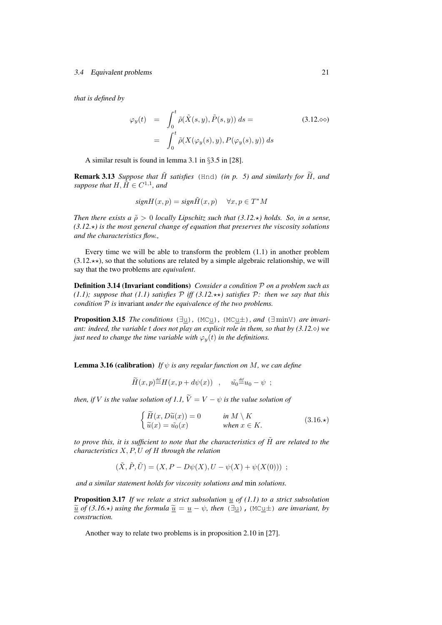#### 3.4 Equivalent problems 21

*that is defined by*

$$
\varphi_y(t) = \int_0^t \tilde{\rho}(\tilde{X}(s, y), \tilde{P}(s, y)) ds =
$$
\n
$$
= \int_0^t \tilde{\rho}(X(\varphi_y(s), y), P(\varphi_y(s), y)) ds
$$
\n(3.12.00)

A similar result is found in lemma 3.1 in §3.5 in [28].

**Remark 3.13** *Suppose that*  $\tilde{H}$  *satisfies* (Hnd) *(in p. 5) and similarly for*  $\tilde{H}$ *, and suppose that*  $H, \tilde{\tilde{H}} \in C^{1,1}$ *, and* 

$$
signH(x, p) = sign\tilde{H}(x, p) \quad \forall x, p \in T^*M
$$

*Then there exists a*  $\tilde{\rho} > 0$  *locally Lipschitz such that (3.12.\*) holds. So, in a sense,*  $(3.12.*)$  is the most general change of equation that preserves the viscosity solutions *and the characteristics flow.,*

Every time we will be able to transform the problem (1.1) in another problem  $(3.12.\star\star)$ , so that the solutions are related by a simple algebraic relationship, we will say that the two problems are *equivalent*.

Definition 3.14 (Invariant conditions) *Consider a condition* P *on a problem such as (1.1); suppose that (1.1) satisfies*  $P$  *iff (3.12.* $\star\star$ ) satisfies  $P$ *: then we say that this condition* P *is* invariant *under the equivalence of the two problems.*

**Proposition 3.15** *The conditions*  $(\exists u)$ ,  $(MCu)$ ,  $(MCu)$ ,  $and$   $(\exists minV)$  *are invariant: indeed, the variable* t *does not play an explicit role in them, so that by (3.12.) we just need to change the time variable with*  $\varphi_y(t)$  *in the definitions.* 

**Lemma 3.16 (calibration)** *If*  $\psi$  *is any regular function on M*, we can define

$$
\widetilde{H}(x,p) \stackrel{\text{\tiny def}}{=} H(x,p + d\psi(x)) \quad , \quad \tilde{u_0} \stackrel{\text{\tiny def}}{=} u_0 - \psi \ ;
$$

*then, if V is the value solution of 1.1,*  $\widetilde{V} = V - \psi$  *is the value solution of* 

$$
\begin{cases}\n\widetilde{H}(x, D\widetilde{u}(x)) = 0 & \text{in } M \setminus K \\
\widetilde{u}(x) = \widetilde{u_0}(x) & \text{when } x \in K.\n\end{cases}
$$
\n(3.16.\*)

*to prove this, it is sufficient to note that the characteristics of*  $\tilde{H}$  *are related to the characteristics* X, P, U *of* H *through the relation*

$$
(\tilde{X}, \tilde{P}, \tilde{U}) = (X, P - D\psi(X), U - \psi(X) + \psi(X(0))) ;
$$

*and a similar statement holds for viscosity solutions and* min *solutions.*

**Proposition 3.17** *If we relate a strict subsolution*  $\underline{u}$  *of* (1.1) to a strict subsolution  $\tilde{u}$  of (3.16. $\star$ ) using the formula  $\tilde{u} = u - \psi$ , then ( $\exists u$ ), (MCu $\pm$ ) are invariant, by *construction.*

Another way to relate two problems is in proposition 2.10 in [27].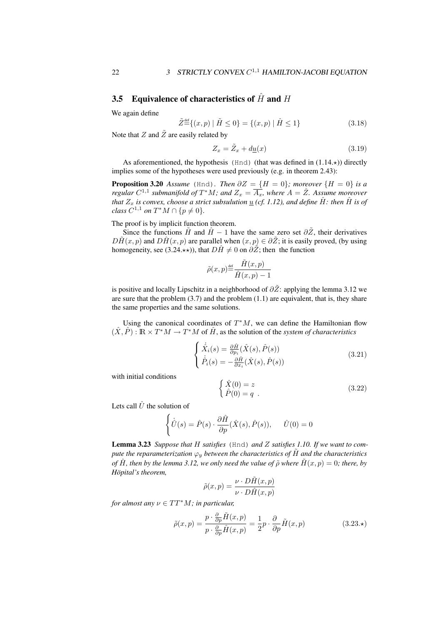## 3.5 Equivalence of characteristics of  $\hat{H}$  and  $H$

We again define

$$
\tilde{Z}^{\text{def}}\{(x,p) \mid \tilde{H} \le 0\} = \{(x,p) \mid \hat{H} \le 1\}
$$
\n(3.18)

Note that  $Z$  and  $\tilde{Z}$  are easily related by

$$
Z_x = \tilde{Z}_x + d\underline{u}(x) \tag{3.19}
$$

As aforementioned, the hypothesis (Hnd) (that was defined in  $(1.14.*)$ ) directly implies some of the hypotheses were used previously (e.g. in theorem 2.43):

**Proposition 3.20** *Assume* (Hnd)*. Then*  $\partial Z = \{H = 0\}$ *; moreover*  $\{H = 0\}$  *is a regular*  $C^{1,1}$  submanifold of  $T^*M$ ; and  $Z_x = \overline{A_x}$ , where  $A = \mathring{Z}$ . Assume moreover *that*  $Z_x$  *is convex, choose a strict subsulution*  $\underline{u}$  *(cf. 1.12), and define*  $\hat{H}$ *: then*  $\hat{H}$  *is of class*  $C^{1,1}$  *on*  $T^*M \cap \{p \neq 0\}.$ 

The proof is by implicit function theorem.

Since the functions  $\tilde{H}$  and  $\hat{H}$  − 1 have the same zero set  $\partial \tilde{Z}$ , their derivatives  $D\tilde{H}(x, p)$  and  $D\hat{H}(x, p)$  are parallel when  $(x, p) \in \partial \tilde{Z}$ ; it is easily proved, (by using homogeneity, see (3.24. $\star\star$ )), that  $D\hat{H} \neq 0$  on  $\partial \tilde{Z}$ ; then the function

$$
\tilde{\rho}(x,p) \stackrel{\text{def}}{=} \frac{\tilde{H}(x,p)}{\hat{H}(x,p) - 1}
$$

is positive and locally Lipschitz in a neighborhood of  $\partial \tilde{Z}$ : applying the lemma 3.12 we are sure that the problem  $(3.7)$  and the problem  $(1.1)$  are equivalent, that is, they share the same properties and the same solutions.

Using the canonical coordinates of  $T^*M$ , we can define the Hamiltonian flow  $(\hat{X}, \hat{P}) : \mathbb{R} \times T^*M \to T^*M$  of  $\hat{H}$ , as the solution of the *system of characteristics* 

$$
\begin{cases}\n\dot{\hat{X}}_i(s) = \frac{\partial \hat{H}}{\partial p_i}(\hat{X}(s), \hat{P}(s)) \\
\dot{\hat{P}}_i(s) = -\frac{\partial \hat{H}}{\partial x_i}(\hat{X}(s), \hat{P}(s))\n\end{cases}
$$
\n(3.21)

with initial conditions

$$
\begin{cases}\n\hat{X}(0) = z \\
\hat{P}(0) = q\n\end{cases} (3.22)
$$

Lets call  $\hat{U}$  the solution of

$$
\begin{cases}\n\dot{\hat{U}}(s) = \hat{P}(s) \cdot \frac{\partial \hat{H}}{\partial p}(\hat{X}(s), \hat{P}(s)), \quad \hat{U}(0) = 0\n\end{cases}
$$

Lemma 3.23 *Suppose that* H *satisfies* (Hnd) *and* Z *satisfies 1.10. If we want to compute the reparameterization*  $\varphi_u$  *between the characteristics of*  $\tilde{H}$  *and the characteristics of*  $\hat{H}$ , then by the lemma 3.12, we only need the value of  $\tilde{\rho}$  where  $\tilde{H}(x, p) = 0$ ; there, by  $H\ddot{o}pital's$  *theorem,* 

$$
\tilde{\rho}(x,p) = \frac{\nu \cdot D\tilde{H}(x,p)}{\nu \cdot D\hat{H}(x,p)}
$$

*for almost any*  $\nu \in TT^*M$ *; in particular,* 

$$
\tilde{\rho}(x,p) = \frac{p \cdot \frac{\partial}{\partial p} \tilde{H}(x,p)}{p \cdot \frac{\partial}{\partial p} \tilde{H}(x,p)} = \frac{1}{2}p \cdot \frac{\partial}{\partial p} \tilde{H}(x,p) \tag{3.23.}\star
$$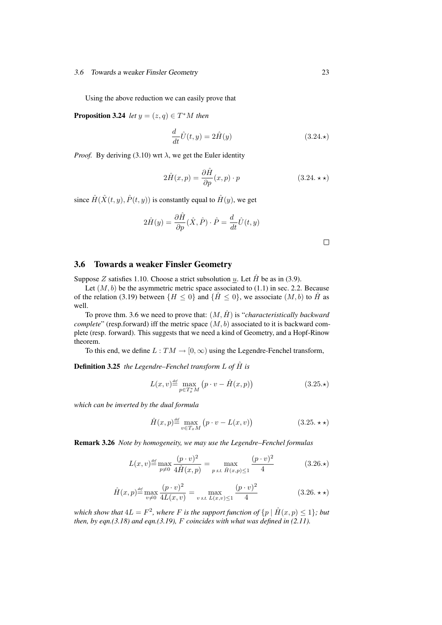#### 3.6 Towards a weaker Finsler Geometry 23

Using the above reduction we can easily prove that

**Proposition 3.24** *let*  $y = (z, q) \in T^*M$  *then* 

$$
\frac{d}{dt}\hat{U}(t,y) = 2\hat{H}(y)
$$
\n(3.24.\*)

*Proof.* By deriving (3.10) wrt  $\lambda$ , we get the Euler identity

$$
2\hat{H}(x,p) = \frac{\partial \hat{H}}{\partial p}(x,p) \cdot p \qquad (3.24. \star \star)
$$

since  $\hat{H}(\hat{X}(t, y), \hat{P}(t, y))$  is constantly equal to  $\hat{H}(y)$ , we get

$$
2\hat{H}(y) = \frac{\partial \hat{H}}{\partial p}(\hat{X}, \hat{P}) \cdot \hat{P} = \frac{d}{dt}\hat{U}(t, y)
$$

## 3.6 Towards a weaker Finsler Geometry

Suppose Z satisfies 1.10. Choose a strict subsolution  $u$ . Let  $\hat{H}$  be as in (3.9).

Let  $(M, b)$  be the asymmetric metric space associated to  $(1.1)$  in sec. 2.2. Because of the relation (3.19) between  $\{H \le 0\}$  and  $\{\hat{H} \le 0\}$ , we associate  $(M, b)$  to  $\hat{H}$  as well.

To prove thm. 3.6 we need to prove that:  $(M, \hat{H})$  is "*characteristically backward complete*" (resp.forward) iff the metric space  $(M, b)$  associated to it is backward complete (resp. forward). This suggests that we need a kind of Geometry, and a Hopf-Rinow theorem.

To this end, we define  $L: TM \rightarrow [0, \infty)$  using the Legendre-Fenchel transform,

**Definition 3.25** *the Legendre–Fenchel transform*  $L$  *of*  $\hat{H}$  *is* 

$$
L(x,v) \stackrel{\text{def}}{=} \max_{p \in T_x^* M} \left( p \cdot v - \hat{H}(x,p) \right) \tag{3.25.}
$$

*which can be inverted by the dual formula*

$$
\hat{H}(x,p) \stackrel{\text{def}}{=} \max_{v \in T_x M} (p \cdot v - L(x,v)) \tag{3.25. \star \star}
$$

Remark 3.26 *Note by homogeneity, we may use the Legendre–Fenchel formulas*

$$
L(x,v) \stackrel{\text{def}}{=} \max_{p \neq 0} \frac{(p \cdot v)^2}{4\hat{H}(x,p)} = \max_{p \text{ s.t. } \hat{H}(x,p) \leq 1} \frac{(p \cdot v)^2}{4} \tag{3.26.}
$$

$$
\hat{H}(x,p) \stackrel{\text{def}}{=} \max_{v \neq 0} \frac{(p \cdot v)^2}{4L(x,v)} = \max_{v \text{ s.t. } L(x,v) \le 1} \frac{(p \cdot v)^2}{4}
$$
\n(3.26. **\*\***)

which show that  $4L = F^2$ , where F is the support function of  $\{p \mid \hat{H}(x,p) \leq 1\}$ ; but *then, by eqn.(3.18) and eqn.(3.19),* F *coincides with what was defined in (2.11).*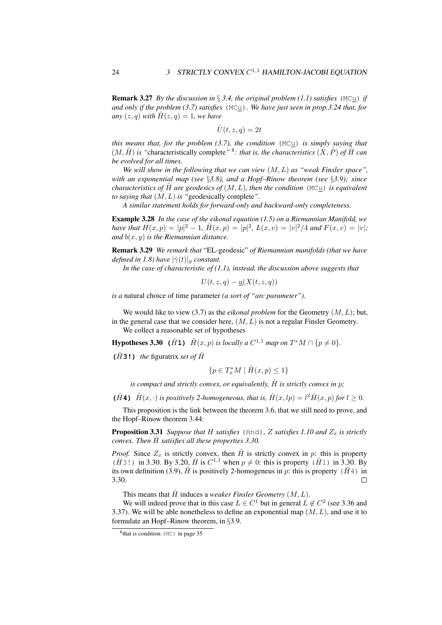Remark 3.27 *By the discussion in* § *3.4, the original problem (1.1) satisfies* (MCu) *if and only if the problem (3.7) satisfies* (MCu)*. We have just seen in prop.3.24 that, for any*  $(z, q)$  *with*  $H(z, q) = 1$ *, we have* 

 $\hat{U}(t, z, a) = 2t$ 

*this means that, for the problem (3.7), the condition* (MCu) *is simply saying that*  $(M, \hat{H})$  *is "characteristically complete"*<sup>8</sup>: that is, the characteristics  $(\hat{X}, \hat{P})$  of  $\hat{H}$  can *be evolved for all times.*

*We will show in the following that we can view* (M, L) *as "weak Finsler space", with an exponential map (see* §*3.8), and a Hopf–Rinow theorem (see* §*3.9); since characteristics of*  $\hat{H}$  *are geodesics of*  $(M, L)$ *, then the condition*  $(MCL)$  *is equivalent to saying that* (M, L) *is "*geodesically complete*".*

*A similar statement holds for forward-only and backward-only completeness.*

Example 3.28 *In the case of the eikonal equation (1.5) on a Riemannian Manifold, we have that*  $H(x,p) = |p|^2 - 1$ ,  $\hat{H}(x,p) = |p|^2$ ,  $L(x,v) = |v|^2/4$  and  $F(x,v) = |v|$ ; *and* b(x, y) *is the Riemannian distance.*

Remark 3.29 *We remark that* "EL-geodesic" *of Riemannian manifolds (that we have defined in 1.8) have*  $|\dot{\gamma}(t)|_q$  *constant.* 

*In the case of characteristic of (1.1), instead, the discussion above suggests that*

 $U(t, z, q) - u(X(t, z, q))$ 

*is a* natural choice of time parameter *(a sort of "arc parameter").*

We would like to view (3.7) as the *eikonal problem* for the Geometry  $(M, L)$ ; but, in the general case that we consider here,  $(M, L)$  is not a regular Finsler Geometry. We collect a reasonable set of hypotheses

**Hypotheses 3.30** ( $\hat{H}$ **1)**  $\hat{H}(x, p)$  is locally a  $C^{1,1}$  map on  $T^*M \cap \{p \neq 0\}$ .

**(** $\hat{H}$ **3!)** *the* figuratrix *set of*  $\hat{H}$ 

$$
\{p \in T_x^*M \mid \hat{H}(x,p) \le 1\}
$$

*is compact and strictly convex, or equivalently,*  $\hat{H}$  *is strictly convex in p;* 

( $\hat{H}$ **4**)  $\hat{H}(x, \cdot)$  *is positively 2-homogeneous, that is,*  $\hat{H}(x, lp) = l^2 \hat{H}(x, p)$  *for*  $l \ge 0$ *.* 

This proposition is the link between the theorem 3.6, that we still need to prove, and the Hopf–Rinow theorem 3.44:

**Proposition 3.31** *Suppose that* H *satisfies* (Hnd), Z *satisfies* 1.10 and  $Z_x$  *is strictly convex. Then*  $\hat{H}$  *satisfies all these properties 3.30.* 

*Proof.* Since  $Z_x$  is strictly convex, then  $\hat{H}$  is strictly convex in p: this is property ( $\hat{H}$ 3!) in 3.30. By 3.20,  $\hat{H}$  is  $C^{1,1}$  when  $p \neq 0$ : this is property ( $\hat{H}$ 1) in 3.30. By its own definition (3.9),  $\hat{H}$  is positively 2-homogeneus in p: this is property ( $\hat{H}$ 4) in 3.30.  $\Box$ 

This means that  $\hat{H}$  induces a *weaker Finsler Geometry*  $(M, L)$ .

We will indeed prove that in this case  $L \in C^1$  but in general  $L \notin C^2$  (see 3.36 and 3.37). We will be able nonetheless to define an exponential map  $(M, L)$ , and use it to formulate an Hopf–Rinow theorem, in §3.9.

<sup>&</sup>lt;sup>8</sup>that is condition (MC) in page 35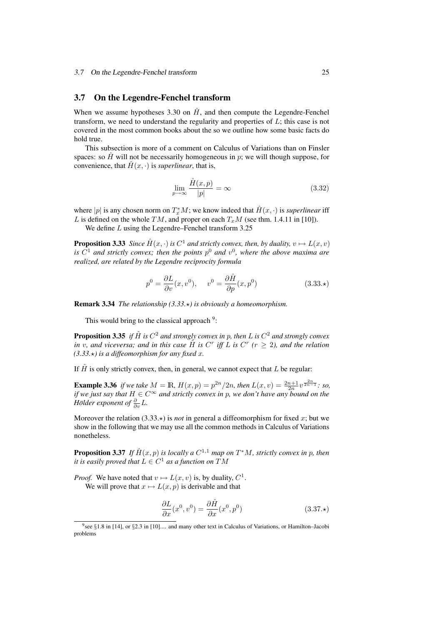## 3.7 On the Legendre-Fenchel transform

When we assume hypotheses 3.30 on  $\hat{H}$ , and then compute the Legendre-Fenchel transform, we need to understand the regularity and properties of  $L$ ; this case is not covered in the most common books about the so we outline how some basic facts do hold true.

This subsection is more of a comment on Calculus of Variations than on Finsler spaces: so  $\hat{H}$  will not be necessarily homogeneous in p; we will though suppose, for convenience, that  $\hat{H}(x, \cdot)$  is *superlinear*, that is,

$$
\lim_{p \to \infty} \frac{\hat{H}(x, p)}{|p|} = \infty
$$
\n(3.32)

where  $|p|$  is any chosen norm on  $T_x^*M$ ; we know indeed that  $\hat{H}(x, \cdot)$  is *superlinear* iff L is defined on the whole TM, and proper on each  $T_xM$  (see thm. 1.4.11 in [10]).

We define *L* using the Legendre–Fenchel transform 3.25

**Proposition 3.33** *Since*  $\hat{H}(x, \cdot)$  *is*  $C^1$  *and strictly convex, then, by duality,*  $v \mapsto L(x, v)$ is  $C^1$  and strictly convex; then the points  $p^0$  and  $v^0$ , where the above maxima are *realized, are related by the Legendre reciprocity formula*

$$
p^{0} = \frac{\partial L}{\partial v}(x, v^{0}), \quad v^{0} = \frac{\partial \hat{H}}{\partial p}(x, p^{0})
$$
\n(3.33.\*)

Remark 3.34 *The relationship (3.33.*?*) is obviously a homeomorphism.*

This would bring to the classical approach  $9$ :

**Proposition 3.35** *if*  $\hat{H}$  *is*  $C^2$  *and strongly convex in p, then L is*  $C^2$  *and strongly convex in* v, and viceversa; and in this case  $\hat{H}$  is  $C<sup>r</sup>$  iff L is  $C<sup>r</sup>$  ( $r \ge 2$ ), and the relation  $(3.33.*)$  is a diffeomorphism for any fixed x.

If  $\hat{H}$  is only strictly convex, then, in general, we cannot expect that L be regular:

**Example 3.36** *if we take*  $M = \mathbb{R}$ *,*  $H(x, p) = p^{2n}/2n$ *, then*  $L(x, v) = \frac{2n+1}{2n}v^{\frac{2n}{2n-1}}$ *: so, if we just say that* H ∈ C<sup>∞</sup> *and strictly convex in* p*, we don't have any bound on the Hölder exponent of*  $\frac{\partial}{\partial v} L$ *.* 

Moreover the relation  $(3.33.)$  is *not* in general a diffeomorphism for fixed x; but we show in the following that we may use all the common methods in Calculus of Variations nonetheless.

**Proposition 3.37** If  $\hat{H}(x, p)$  is locally a  $C^{1,1}$  map on  $T^*M$ , strictly convex in p, then *it is easily proved that*  $L \in C^1$  *as a function on*  $TM$ 

*Proof.* We have noted that  $v \mapsto L(x, v)$  is, by duality,  $C^1$ . We will prove that  $x \mapsto L(x, p)$  is derivable and that

$$
\frac{\partial L}{\partial x}(x^0, v^0) = \frac{\partial \hat{H}}{\partial x}(x^0, p^0)
$$
\n(3.37.\*)

<sup>9</sup> see §1.8 in [14], or §2.3 in [10].... and many other text in Calculus of Variations, or Hamilton–Jacobi problems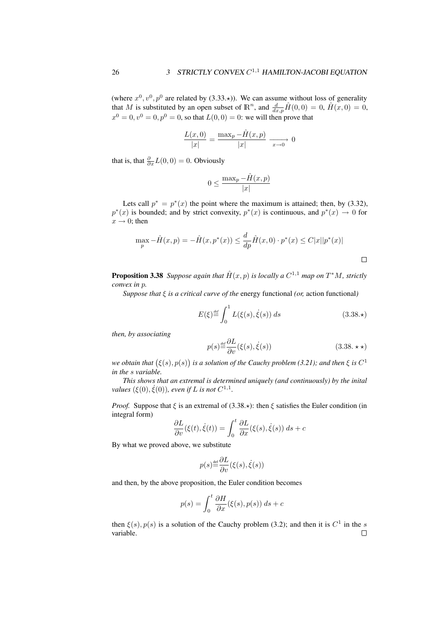(where  $x^0, v^0, p^0$  are related by (3.33. $\star$ )). We can assume without loss of generality that M is substituted by an open subset of  $\mathbb{R}^n$ , and  $\frac{d}{dx,p}\hat{H}(0,0) = 0$ ,  $\hat{H}(x,0) = 0$ ,  $x^0 = 0, v^0 = 0, p^0 = 0$ , so that  $L(0, 0) = 0$ : we will then prove that

$$
\frac{L(x,0)}{|x|} = \frac{\max_{p} - \hat{H}(x,p)}{|x|} \xrightarrow[x \to 0]{} 0
$$

that is, that  $\frac{\partial}{\partial x}L(0,0) = 0$ . Obviously

$$
0 \le \frac{\max_p - \hat{H}(x, p)}{|x|}
$$

Lets call  $p^* = p^*(x)$  the point where the maximum is attained; then, by (3.32),  $p^*(x)$  is bounded; and by strict convexity,  $p^*(x)$  is continuous, and  $p^*(x) \to 0$  for  $x \rightarrow 0$ ; then

$$
\max_{p} - \hat{H}(x, p) = -\hat{H}(x, p^*(x)) \le \frac{d}{dp}\hat{H}(x, 0) \cdot p^*(x) \le C|x||p^*(x)|
$$

**Proposition 3.38** Suppose again that  $\hat{H}(x, p)$  is locally a  $C^{1,1}$  map on  $T^*M$ , strictly *convex in* p*.*

*Suppose that* ξ *is a critical curve of the* energy functional *(or,* action functional*)*

$$
E(\xi) \stackrel{\text{def}}{=} \int_0^1 L(\xi(s), \dot{\xi}(s)) \, ds \tag{3.38.}\star
$$

*then, by associating*

$$
p(s) \stackrel{\text{def}}{=} \frac{\partial L}{\partial v}(\xi(s), \dot{\xi}(s)) \tag{3.38. \star \star}
$$

we obtain that  $(\xi(s), p(s))$  is a solution of the Cauchy problem (3.21); and then  $\xi$  is  $C^1$ *in the* s *variable.*

*This shows that an extremal is determined uniquely (and continuously) by the inital values*  $(\xi(0), \dot{\xi}(0))$ *, even if L is not*  $C^{1,1}$ *.* 

*Proof.* Suppose that  $\xi$  is an extremal of (3.38. $\star$ ): then  $\xi$  satisfies the Euler condition (in integral form)

$$
\frac{\partial L}{\partial v}(\xi(t), \dot{\xi}(t)) = \int_0^t \frac{\partial L}{\partial x}(\xi(s), \dot{\xi}(s)) ds + c
$$

By what we proved above, we substitute

$$
p(s) \stackrel{\text{\tiny def}}{=} \frac{\partial L}{\partial v}(\xi(s), \dot{\xi}(s))
$$

and then, by the above proposition, the Euler condition becomes

$$
p(s) = \int_0^t \frac{\partial H}{\partial x}(\xi(s), p(s)) \, ds + c
$$

then  $\xi(s)$ ,  $p(s)$  is a solution of the Cauchy problem (3.2); and then it is  $C^1$  in the s variable. $\Box$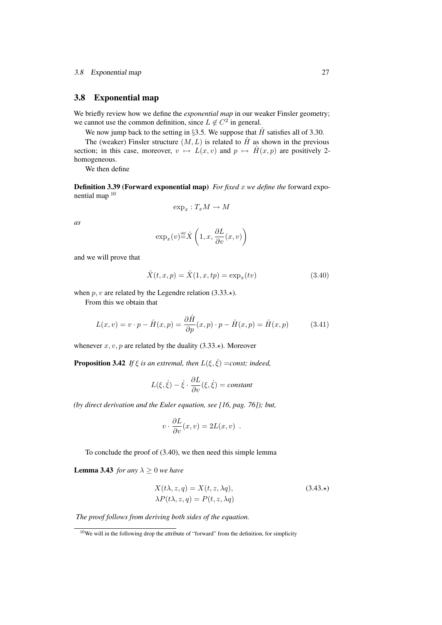## 3.8 Exponential map

We briefly review how we define the *exponential map* in our weaker Finsler geometry; we cannot use the common definition, since  $L \notin C^2$  in general.

We now jump back to the setting in §3.5. We suppose that  $\hat{H}$  satisfies all of 3.30.

The (weaker) Finsler structure  $(M, L)$  is related to  $\hat{H}$  as shown in the previous section; in this case, moreover,  $v \mapsto L(x, v)$  and  $p \mapsto \hat{H}(x, p)$  are positively 2homogeneous.

We then define

**Definition 3.39 (Forward exponential map)** *For fixed x we define the* forward exponential map <sup>10</sup>

$$
\exp_x: T_xM \to M
$$

*as*

$$
\exp_x(v) \stackrel{\text{def}}{=} \hat{X}\left(1, x, \frac{\partial L}{\partial v}(x, v)\right)
$$

and we will prove that

$$
\hat{X}(t, x, p) = \hat{X}(1, x, tp) = \exp_x(tv)
$$
\n(3.40)

when p, v are related by the Legendre relation  $(3.33.*)$ .

From this we obtain that

$$
L(x,v) = v \cdot p - \hat{H}(x,p) = \frac{\partial \hat{H}}{\partial p}(x,p) \cdot p - \hat{H}(x,p) = \hat{H}(x,p) \quad (3.41)
$$

whenever  $x, v, p$  are related by the duality (3.33. $\star$ ). Moreover

**Proposition 3.42** *If*  $\xi$  *is an extremal, then*  $L(\xi, \dot{\xi}) = const$ ; *indeed,* 

$$
L(\xi, \dot{\xi}) - \dot{\xi} \cdot \frac{\partial L}{\partial v}(\xi, \dot{\xi}) = constant
$$

*(by direct derivation and the Euler equation, see [16, pag. 76]); but,*

$$
v \cdot \frac{\partial L}{\partial v}(x,v) = 2L(x,v) .
$$

To conclude the proof of (3.40), we then need this simple lemma

**Lemma 3.43** *for any*  $\lambda \geq 0$  *we have* 

$$
X(t\lambda, z, q) = X(t, z, \lambda q),
$$
  
\n
$$
\lambda P(t\lambda, z, q) = P(t, z, \lambda q)
$$
  
\n(3.43.\*)

*The proof follows from deriving both sides of the equation.*

 $10$ We will in the following drop the attribute of "forward" from the definition, for simplicity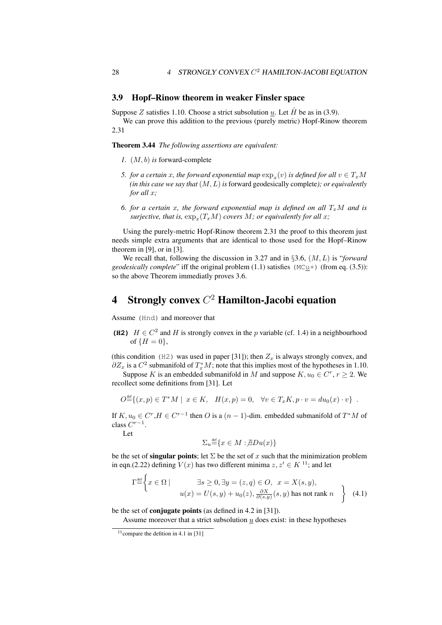## 3.9 Hopf–Rinow theorem in weaker Finsler space

Suppose Z satisfies 1.10. Choose a strict subsolution u. Let  $\hat{H}$  be as in (3.9).

We can prove this addition to the previous (purely metric) Hopf-Rinow theorem 2.31

Theorem 3.44 *The following assertions are equivalent:*

- *1.* (M, b) *is* forward-complete
- 5. *for a certain x, the forward exponential map*  $\exp_x(v)$  *is defined for all*  $v \in T_xM$ *(in this case we say that* (M, L) *is* forward geodesically complete*); or equivalently for all* x*;*
- 6. *for a certain* x, the forward exponential map is defined on all  $T_xM$  and is  $s$ *urjective, that is,*  $\exp_x(T_x M)$  *covers*  $M$ *; or equivalently for all x;*

Using the purely-metric Hopf-Rinow theorem 2.31 the proof to this theorem just needs simple extra arguments that are identical to those used for the Hopf–Rinow theorem in [9], or in [3].

We recall that, following the discussion in 3.27 and in §3.6, (M, L) is "*forward geodesically complete*" iff the original problem (1.1) satisfies (MCu+) (from eq. (3.5)): so the above Theorem immediatly proves 3.6.

# 4 Strongly convex  $C^2$  Hamilton-Jacobi equation

Assume (Hnd) and moreover that

**(H2)**  $H \in C^2$  and H is strongly convex in the p variable (cf. 1.4) in a neighbourhood of  $\{H = 0\}$ ,

(this condition (H2) was used in paper [31]); then  $Z_x$  is always strongly convex, and  $\partial Z_x$  is a  $C^2$  submanifold of  $T_x^*M$ ; note that this implies most of the hypotheses in 1.10.

Suppose K is an embedded submanifold in M and suppose  $K, u_0 \in \mathbb{C}^r, r \geq 2$ . We recollect some definitions from [31]. Let

$$
O^{\text{def}}_{-}\{(x,p) \in T^*M \mid x \in K, \quad H(x,p) = 0, \quad \forall v \in T_xK, p \cdot v = du_0(x) \cdot v \} .
$$

If  $K, u_0 \in C^r, H \in C^{r-1}$  then O is a  $(n-1)$ -dim. embedded submanifold of  $T^*M$  of class  $C^{r-1}$ .

Let

 $\epsilon$ 

$$
\Sigma_u \stackrel{\text{def}}{=} \{ x \in M : \nexists Du(x) \}
$$

be the set of singular points; let  $\Sigma$  be the set of x such that the minimization problem in eqn.(2.22) defining  $V(x)$  has two different minima  $z, z' \in K^{11}$ ; and let

$$
\Gamma \stackrel{\text{def}}{=} \left\{ x \in \Omega \mid \qquad \exists s \ge 0, \exists y = (z, q) \in O, \ x = X(s, y), u(x) = U(s, y) + u_0(z), \frac{\partial X}{\partial (s, y)}(s, y) \text{ has not rank } n \right\}
$$
 (4.1)

be the set of conjugate points (as defined in 4.2 in [31]).

Assume moreover that a strict subsolution  $u$  does exist: in these hypotheses

 $11$ compare the defition in 4.1 in [31]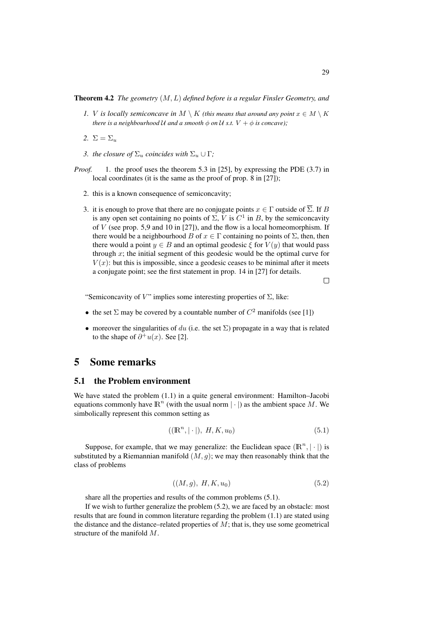Theorem 4.2 *The geometry* (M, L) *defined before is a regular Finsler Geometry, and*

- *1. V is locally semiconcave in*  $M \setminus K$  *(this means that around any point*  $x \in M \setminus K$ *there is a neighbourhood* U *and a smooth*  $\phi$  *on* U *s.t.*  $V + \phi$  *is concave*);
- 2.  $\Sigma = \Sigma_u$
- *3. the closure of*  $\Sigma_u$  *coincides with*  $\Sigma_u \cup \Gamma$ *;*
- *Proof.* 1. the proof uses the theorem 5.3 in [25], by expressing the PDE (3.7) in local coordinates (it is the same as the proof of prop. 8 in [27]);
	- 2. this is a known consequence of semiconcavity;
	- 3. it is enough to prove that there are no conjugate points  $x \in \Gamma$  outside of  $\overline{\Sigma}$ . If B is any open set containing no points of  $\Sigma$ , V is  $C^1$  in B, by the semiconcavity of  $V$  (see prop. 5,9 and 10 in [27]), and the flow is a local homeomorphism. If there would be a neighbourhood B of  $x \in \Gamma$  containing no points of  $\Sigma$ , then, then there would a point  $y \in B$  and an optimal geodesic  $\xi$  for  $V(y)$  that would pass through  $x$ ; the initial segment of this geodesic would be the optimal curve for  $V(x)$ : but this is impossible, since a geodesic ceases to be minimal after it meets a conjugate point; see the first statement in prop. 14 in [27] for details.

 $\Box$ 

"Semiconcavity of V" implies some interesting properties of  $\Sigma$ , like:

- the set  $\Sigma$  may be covered by a countable number of  $C^2$  manifolds (see [1])
- moreover the singularities of du (i.e. the set  $\Sigma$ ) propagate in a way that is related to the shape of  $\partial^+u(x)$ . See [2].

## 5 Some remarks

#### 5.1 the Problem environment

We have stated the problem  $(1.1)$  in a quite general environment: Hamilton–Jacobi equations commonly have  $\mathbb{R}^n$  (with the usual norm  $|\cdot|$ ) as the ambient space M. We simbolically represent this common setting as

$$
((\mathbb{R}^n, |\cdot|), H, K, u_0) \tag{5.1}
$$

Suppose, for example, that we may generalize: the Euclidean space  $(\mathbb{R}^n, |\cdot|)$  is substituted by a Riemannian manifold  $(M, g)$ ; we may then reasonably think that the class of problems

$$
((M,g), H, K, u_0) \tag{5.2}
$$

share all the properties and results of the common problems (5.1).

If we wish to further generalize the problem (5.2), we are faced by an obstacle: most results that are found in common literature regarding the problem (1.1) are stated using the distance and the distance–related properties of  $M$ ; that is, they use some geometrical structure of the manifold M.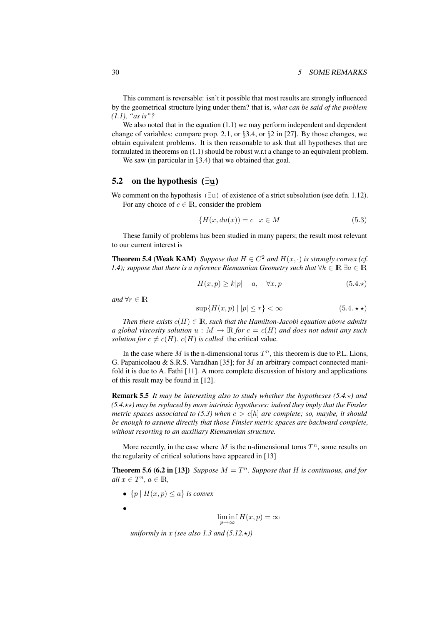This comment is reversable: isn't it possible that most results are strongly influenced by the geometrical structure lying under them? that is, *what can be said of the problem (1.1), "as is"?*

We also noted that in the equation (1.1) we may perform independent and dependent change of variables: compare prop. 2.1, or §3.4, or §2 in [27]. By those changes, we obtain equivalent problems. It is then reasonable to ask that all hypotheses that are formulated in theorems on (1.1) should be robust w.r.t a change to an equivalent problem.

We saw (in particular in §3.4) that we obtained that goal.

## 5.2 on the hypothesis **(**∃**u)**

We comment on the hypothesis (∃u) of existence of a strict subsolution (see defn. 1.12). For any choice of  $c \in \mathbb{R}$ , consider the problem

$$
\{H(x, du(x)) = c \mid x \in M \tag{5.3}
$$

These family of problems has been studied in many papers; the result most relevant to our current interest is

**Theorem 5.4 (Weak KAM)** *Suppose that*  $H \in C^2$  *and*  $H(x, \cdot)$  *is strongly convex (cf. 1.4); suppose that there is a reference Riemannian Geometry such that*  $\forall k \in \mathbb{R} \exists a \in \mathbb{R}$ 

$$
H(x,p) \ge k|p| - a, \quad \forall x, p \tag{5.4.}\star
$$

*and*  $\forall r \in \mathbb{R}$ 

$$
\sup\{H(x,p) \mid |p| \le r\} < \infty \tag{5.4.}\star\star\}
$$

*Then there exists*  $c(H) \in \mathbb{R}$ *, such that the Hamilton-Jacobi equation above admits a global viscosity solution*  $u : M \to \mathbb{R}$  *for*  $c = c(H)$  *and does not admit any such solution for*  $c \neq c(H)$ *.*  $c(H)$  *is called* the critical value.

In the case where M is the n-dimensional torus  $T<sup>n</sup>$ , this theorem is due to P.L. Lions, G. Papanicolaou & S.R.S. Varadhan [35]; for M an arbitrary compact connected manifold it is due to A. Fathi [11]. A more complete discussion of history and applications of this result may be found in [12].

Remark 5.5 *It may be interesting also to study whether the hypotheses (5.4.*?*) and (5.4.*??*) may be replaced by more intrinsic hypotheses: indeed they imply that the Finsler metric spaces associated to (5.3) when*  $c > c|h|$  *are complete; so, maybe, it should be enough to assume directly that those Finsler metric spaces are backward complete, without resorting to an auxiliary Riemannian structure.*

More recently, in the case where M is the n-dimensional torus  $T<sup>n</sup>$ , some results on the regularity of critical solutions have appeared in [13]

**Theorem 5.6 (6.2 in [13])** *Suppose*  $M = T<sup>n</sup>$ *. Suppose that* H *is continuous, and for*  $all x \in T^n, a \in \mathbb{R},$ 

- ${p \mid H(x,p) \leq a}$  *is convex*
- •

$$
\liminf_{p \to \infty} H(x, p) = \infty
$$

*uniformly in* x *(see also 1.3 and*  $(5.12, \star)$ *)*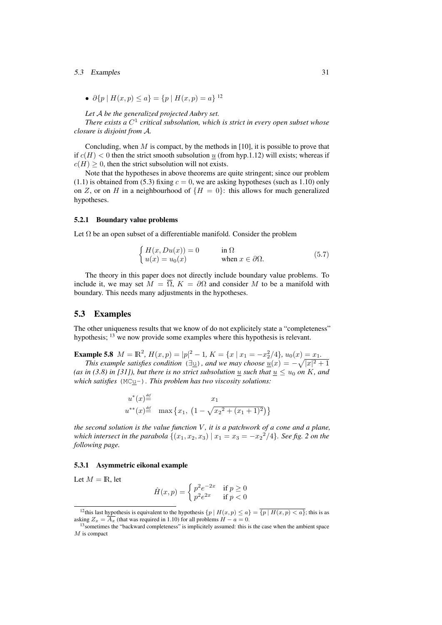#### 5.3 Examples 31

•  $\partial \{p \mid H(x,p) \leq a\} = \{p \mid H(x,p) = a\}^{12}$ 

*Let* A *be the generalized projected Aubry set.*

*There exists a*  $C^1$  critical subsolution, which is strict in every open subset whose *closure is disjoint from* A*.*

Concluding, when  $M$  is compact, by the methods in [10], it is possible to prove that if  $c(H) < 0$  then the strict smooth subsolution u (from hyp.1.12) will exists; whereas if  $c(H) > 0$ , then the strict subsolution will not exists.

Note that the hypotheses in above theorems are quite stringent; since our problem (1.1) is obtained from (5.3) fixing  $c = 0$ , we are asking hypotheses (such as 1.10) only on Z, or on H in a neighbourhood of  $\{H = 0\}$ : this allows for much generalized hypotheses.

#### 5.2.1 Boundary value problems

Let  $\Omega$  be an open subset of a differentiable manifold. Consider the problem

$$
\begin{cases}\nH(x, Du(x)) = 0 & \text{in } \Omega \\
u(x) = u_0(x) & \text{when } x \in \partial\Omega.\n\end{cases}
$$
\n(5.7)

The theory in this paper does not directly include boundary value problems. To include it, we may set  $M = \overline{\Omega}$ ,  $K = \partial \Omega$  and consider M to be a manifold with boundary. This needs many adjustments in the hypotheses.

## 5.3 Examples

The other uniqueness results that we know of do not explicitely state a "completeness" hypothesis; <sup>13</sup> we now provide some examples where this hypothesis is relevant.

**Example 5.8**  $M = \mathbb{R}^2$ ,  $H(x, p) = |p|^2 - 1$ ,  $K = \{x \mid x_1 = -x_2^2/4\}$ ,  $u_0(x) = x_1$ .

*This example satisfies condition* ( $\exists$ <u>u</u>), and we may choose  $\underline{u}(x) = -\sqrt{|x|^2 + 1}$ (as in (3.8) in [31]), but there is no strict subsolution u such that  $u \leq u_0$  on K, and *which satisfies* (MCu-)*. This problem has two viscosity solutions:*

$$
u^*(x) \stackrel{\text{def}}{=} \qquad x_1
$$
  

$$
u^{**}(x) \stackrel{\text{def}}{=} \max \{x_1, \left(1 - \sqrt{x_2^2 + (x_1 + 1)^2}\right)\}
$$

*the second solution is the value function* V, *it is a patchwork of a cone and a plane*, *which intersect in the parabola*  $\{(x_1, x_2, x_3) | x_1 = x_3 = -x_2^2/4\}$ *. See fig. 2 on the following page.*

#### 5.3.1 Asymmetric eikonal example

Let  $M = \mathbb{R}$ , let

$$
\hat{H}(x,p) = \begin{cases} p^2 e^{-2x} & \text{if } p \ge 0\\ p^2 e^{2x} & \text{if } p < 0 \end{cases}
$$

<sup>&</sup>lt;sup>12</sup>this last hypothesis is equivalent to the hypothesis  $\{p \mid H(x, p) \leq a\} = \{p \mid H(x, p) < a\}$ ; this is as asking  $Z_x = \overline{A_x}$  (that was required in 1.10) for all problems  $H - a = 0$ .

<sup>&</sup>lt;sup>13</sup> sometimes the "backward completeness" is implicitely assumed: this is the case when the ambient space  $M$  is compact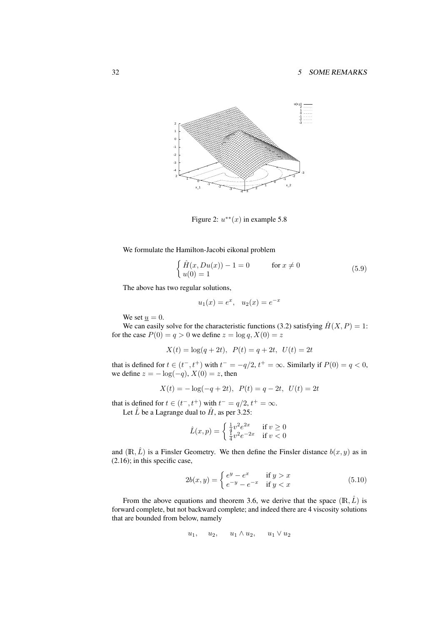

Figure 2:  $u^{**}(x)$  in example 5.8

We formulate the Hamilton-Jacobi eikonal problem

$$
\begin{cases}\n\hat{H}(x, Du(x)) - 1 = 0 & \text{for } x \neq 0 \\
u(0) = 1\n\end{cases}
$$
\n(5.9)

The above has two regular solutions,

$$
u_1(x) = e^x
$$
,  $u_2(x) = e^{-x}$ 

We set  $\underline{u} = 0$ .

We can easily solve for the characteristic functions (3.2) satisfying  $\hat{H}(X, P) = 1$ : for the case  $P(0) = q > 0$  we define  $z = \log q$ ,  $X(0) = z$ 

 $X(t) = \log(q + 2t), P(t) = q + 2t, U(t) = 2t$ 

that is defined for  $t \in (t^-, t^+)$  with  $t^- = -q/2$ ,  $t^+ = \infty$ . Similarly if  $P(0) = q < 0$ , we define  $z = -\log(-q)$ ,  $X(0) = z$ , then

$$
X(t) = -\log(-q + 2t), \ P(t) = q - 2t, \ U(t) = 2t
$$

that is defined for  $t \in (t^-, t^+)$  with  $t^- = q/2$ ,  $t^+ = \infty$ . Let  $\hat{L}$  be a Lagrange dual to  $\hat{H}$ , as per 3.25:

$$
\hat{L}(x,p) = \begin{cases} \frac{1}{4}v^2e^{2x} & \text{if } v \ge 0\\ \frac{1}{4}v^2e^{-2x} & \text{if } v < 0 \end{cases}
$$

and  $(\mathbb{R}, \hat{L})$  is a Finsler Geometry. We then define the Finsler distance  $b(x, y)$  as in (2.16); in this specific case,

$$
2b(x,y) = \begin{cases} e^y - e^x & \text{if } y > x \\ e^{-y} - e^{-x} & \text{if } y < x \end{cases}
$$
 (5.10)

From the above equations and theorem 3.6, we derive that the space  $(\mathbb{R}, \hat{L})$  is forward complete, but not backward complete; and indeed there are 4 viscosity solutions that are bounded from below, namely

$$
u_1, \quad u_2, \quad u_1 \wedge u_2, \quad u_1 \vee u_2
$$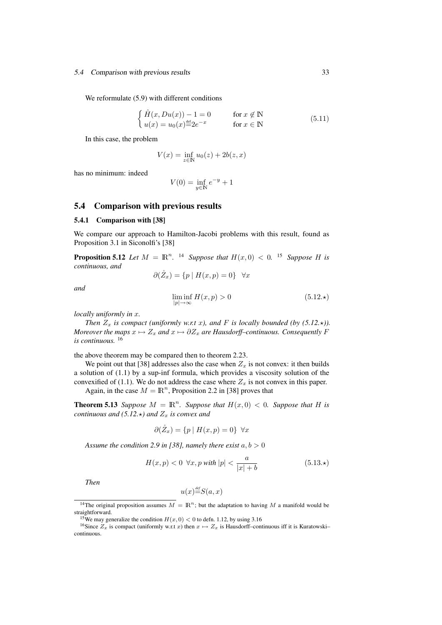#### 5.4 Comparison with previous results 33

We reformulate  $(5.9)$  with different conditions

$$
\begin{cases}\n\hat{H}(x, Du(x)) - 1 = 0 & \text{for } x \notin \mathbb{N} \\
u(x) = u_0(x) \stackrel{\text{def}}{=} 2e^{-x} & \text{for } x \in \mathbb{N}\n\end{cases}
$$
\n(5.11)

In this case, the problem

$$
V(x) = \inf_{z \in \mathbb{N}} u_0(z) + 2b(z, x)
$$

has no minimum: indeed

$$
V(0) = \inf_{y \in \mathbb{N}} e^{-y} + 1
$$

## 5.4 Comparison with previous results

#### 5.4.1 Comparison with [38]

We compare our approach to Hamilton-Jacobi problems with this result, found as Proposition 3.1 in Siconolfi's [38]

**Proposition 5.12** Let  $M = \mathbb{R}^n$ . <sup>14</sup> Suppose that  $H(x, 0) < 0$ . <sup>15</sup> Suppose H is *continuous, and*

$$
\partial(\mathring{Z}_x) = \{ p \mid H(x, p) = 0 \} \quad \forall x
$$

*and*

$$
\liminf_{|p| \to \infty} H(x, p) > 0 \tag{5.12.}\star
$$

*locally uniformly in* x*.*

*Then*  $Z_x$  *is compact (uniformly w.r.t x), and*  $F$  *is locally bounded (by (5.12.\*)). Moreover the maps*  $x \mapsto Z_x$  *and*  $x \mapsto \partial Z_x$  *are Hausdorff–continuous. Consequently* F *is continuous.* <sup>16</sup>

the above theorem may be compared then to theorem 2.23.

We point out that [38] addresses also the case when  $Z<sub>x</sub>$  is not convex: it then builds a solution of (1.1) by a sup-inf formula, which provides a viscosity solution of the convexified of (1.1). We do not address the case where  $Z_x$  is not convex in this paper.

Again, in the case  $M = \mathbb{R}^n$ , Proposition 2.2 in [38] proves that

**Theorem 5.13** *Suppose*  $M = \mathbb{R}^n$ *. Suppose that*  $H(x, 0) < 0$ *. Suppose that*  $H$  *is continuous and (5.12.* $\star$ *) and*  $Z_x$  *is convex and* 

$$
\partial(\mathring{Z}_x) = \{ p \mid H(x, p) = 0 \} \ \forall x
$$

*Assume the condition 2.9 in [38], namely there exist*  $a, b > 0$ 

$$
H(x, p) < 0 \ \forall x, p \ with \ |p| < \frac{a}{|x| + b} \tag{5.13.}
$$

*Then*

$$
u(x) \stackrel{\text{\tiny def}}{=} S(a,x)
$$

<sup>&</sup>lt;sup>14</sup>The original proposition assumes  $M = \mathbb{R}^n$ ; but the adaptation to having M a manifold would be straightforward.

<sup>&</sup>lt;sup>15</sup>We may generalize the condition  $H(x, 0) < 0$  to defn. 1.12, by using 3.16

<sup>&</sup>lt;sup>16</sup>Since  $Z_x$  is compact (uniformly w.r.t x) then  $x \mapsto Z_x$  is Hausdorff–continuous iff it is Kuratowski– continuous.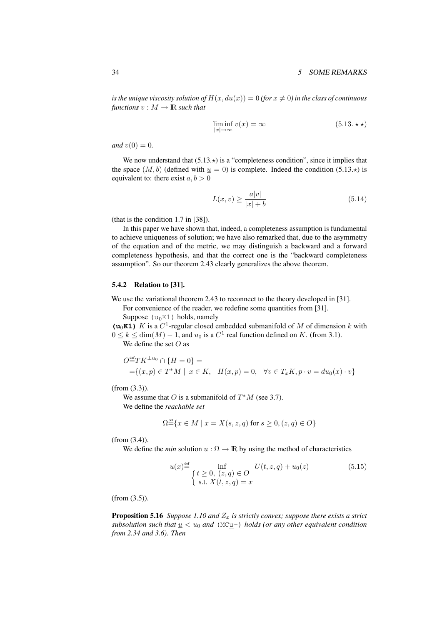*is the unique viscosity solution of*  $H(x, du(x)) = 0$  *(for*  $x \neq 0$ *) in the class of continuous functions*  $v : M \to \mathbb{R}$  *such that* 

$$
\liminf_{|x| \to \infty} v(x) = \infty \tag{5.13. \star \star}
$$

*and*  $v(0) = 0$ *.* 

We now understand that  $(5.13.*)$  is a "completeness condition", since it implies that the space  $(M, b)$  (defined with  $u = 0$ ) is complete. Indeed the condition (5.13. $\star$ ) is equivalent to: there exist  $a, b > 0$ 

$$
L(x,v) \ge \frac{a|v|}{|x|+b} \tag{5.14}
$$

(that is the condition 1.7 in [38]).

In this paper we have shown that, indeed, a completeness assumption is fundamental to achieve uniqueness of solution; we have also remarked that, due to the asymmetry of the equation and of the metric, we may distinguish a backward and a forward completeness hypothesis, and that the correct one is the "backward completeness assumption". So our theorem 2.43 clearly generalizes the above theorem.

## 5.4.2 Relation to [31].

We use the variational theorem 2.43 to reconnect to the theory developed in [31].

For convenience of the reader, we redefine some quantities from [31].

Suppose  $(u_0K1)$  holds, namely

( $\mathbf{u}_0$ **K1**) K is a  $C^1$ -regular closed embedded submanifold of M of dimension k with  $0 \le k \le \dim(M) - 1$ , and  $u_0$  is a  $C^1$  real function defined on K. (from 3.1).

We define the set  $O$  as

$$
O^{\text{def}} T K^{\perp u_0} \cap \{H = 0\} =
$$
  
={(x, p) \in T^\* M | x \in K, H(x, p) = 0, \forall v \in T\_x K, p \cdot v = du\_0(x) \cdot v}

(from (3.3)).

We assume that O is a submanifold of  $T^*M$  (see 3.7). We define the *reachable set*

$$
\Omega^{\text{def}} \{ x \in M \mid x = X(s, z, q) \text{ for } s \ge 0, (z, q) \in O \}
$$

(from (3.4)).

We define the *min* solution  $u : \Omega \to \mathbb{R}$  by using the method of characteristics

$$
u(x) \stackrel{\text{def}}{=} \inf_{\begin{cases} t \ge 0, (z,q) \in O \\ \text{s.t. } X(t,z,q) = x \end{cases}} U(t,z,q) + u_0(z) \tag{5.15}
$$

(from (3.5)).

**Proposition 5.16** *Suppose 1.10 and*  $Z_x$  *is strictly convex; suppose there exists a strict subsolution such that*  $u < u_0$  *and* (MCu-) *holds* (*or any other equivalent condition from 2.34 and 3.6). Then*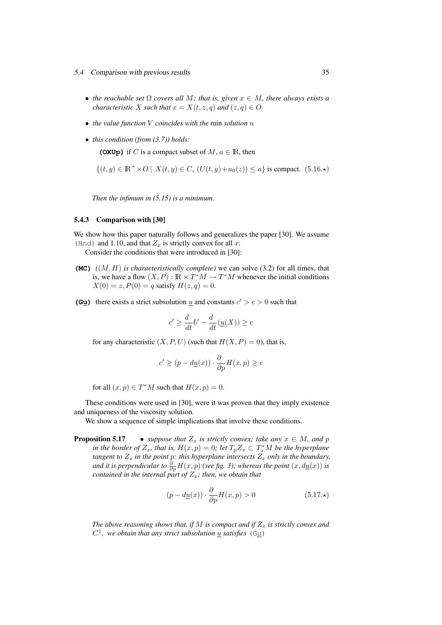- 5.4 Comparison with previous results 35
	- *the reachable set*  $\Omega$  *covers all*  $M$ *; that is, given*  $x \in M$ *, there always exists a characteristic* X *such that*  $x = X(t, z, q)$  *and*  $(z, q) \in O$
	- *the value function* V *coincides with the* min *solution* u
	- *this condition (from (3.7)) holds:*

**(OXUp)** if C is a compact subset of M,  $a \in \mathbb{R}$ , then

$$
\{(t, y) \in \mathbb{R}^+ \times O \mid X(t, y) \in C, (U(t, y) + u_0(z)) \le a\} \text{ is compact. (5.16.})
$$

*Then the infimum in (5.15) is a minimum.*

#### 5.4.3 Comparison with [30]

We show how this paper naturally follows and generalizes the paper [30]. We assume (Hnd) and 1.10, and that  $Z<sub>x</sub>$  is strictly convex for all x.

Consider the conditions that were introduced in [30]:

- **(MC)**  $((M, H)$  *is characteristically complete*) we can solve (3.2) for all times, that is, we have a flow  $(X, P) : \mathbb{R} \times T^*M \to T^*M$  whenever the initial conditions  $X(0) = z, P(0) = q$  satisfy  $H(z, q) = 0$ .
- (G<u>u</u>) there exists a strict subsolution <u>u</u> and constants  $c' > c > 0$  such that

$$
c' \ge \frac{d}{dt}U - \frac{d}{dt}(\underline{u}(X)) \ge c
$$

for any characteristic  $(X, P, U)$  (such that  $H(X, P) = 0$ ), that is,

$$
c' \geq (p - d\underline{u}(x)) \cdot \frac{\partial}{\partial p} H(x, p) \geq c
$$

for all  $(x, p) \in T^*M$  such that  $H(x, p) = 0$ .

These conditions were used in [30], were it was proven that they imply existence and uniqueness of the viscosity solution.

We show a sequence of simple implications that involve these conditions.

**Proposition 5.17** • *suppose that*  $Z_x$  *is strictly convex; take any*  $x \in M$ *, and* p *in the border of*  $Z_x$ *, that is,*  $H(x,p) = 0$ *; let*  $T_p Z_x \subset T_x^* M$  *be the hyperplane tangent to*  $Z_x$  *in the point p: this hyperplane intersects*  $Z_x$  *only in the boundary,* and it is perpendicular to  $\frac{\partial}{\partial p}H(x,p)$  *(see fig. 3); whereas the point*  $(x,d\underline{u}(x))$  is *contained in the internal part of*  $Z_x$ *; then, we obtain that* 

$$
(p - d\underline{u}(x)) \cdot \frac{\partial}{\partial p} H(x, p) > 0 \tag{5.17.}\star
$$

*The above reasoning shows that, if* M *is compact and if*  $Z<sub>x</sub>$  *is strictly convex and*  $C^1$ , we obtain that any strict subsolution  $\underline{u}$  satisfies (G<u>u</u>)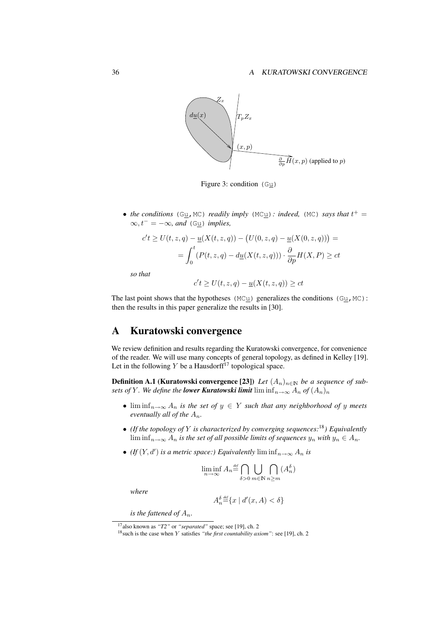#### 36 A KURATOWSKI CONVERGENCE



Figure 3: condition  $(Gu)$ 

• *the conditions* (G<sub>U</sub>, MC) *readily imply* (MC<sub>U</sub>): *indeed,* (MC) *says that*  $t^+$  =  $\infty, t^- = -\infty$ *, and* (Gu) *implies*,

$$
c't \ge U(t, z, q) - \underline{u}(X(t, z, q)) - (U(0, z, q) - \underline{u}(X(0, z, q))) =
$$
  
= 
$$
\int_0^t (P(t, z, q) - d\underline{u}(X(t, z, q))) \cdot \frac{\partial}{\partial p} H(X, P) \ge ct
$$

*so that*

$$
c't \ge U(t, z, q) - \underline{u}(X(t, z, q)) \ge ct
$$

The last point shows that the hypotheses (MCu) generalizes the conditions (Gu, MC): then the results in this paper generalize the results in [30].

# A Kuratowski convergence

We review definition and results regarding the Kuratowski convergence, for convenience of the reader. We will use many concepts of general topology, as defined in Kelley [19]. Let in the following Y be a Hausdorff<sup>17</sup> topological space.

**Definition A.1 (Kuratowski convergence [23])** *Let*  $(A_n)_{n\in\mathbb{N}}$  *be a sequence of subsets of* Y. We define the *lower Kuratowski limit* lim  $\inf_{n\to\infty} A_n$  of  $(A_n)_n$ 

- $\liminf_{n\to\infty} A_n$  *is the set of*  $y \in Y$  *such that any neighborhood of y meets eventually all of the*  $A_n$ *.*
- *(If the topology of* Y *is characterized by converging sequences:*<sup>18</sup>*) Equivalently* lim inf $_{n\to\infty}$   $A_n$  *is the set of all possible limits of sequences*  $y_n$  *with*  $y_n \in A_n$ *.*
- *(If*  $(Y, d')$  *is a metric space:) Equivalently* lim  $\inf_{n\to\infty} A_n$  *is*

$$
\liminf_{n \to \infty} A_n \stackrel{\text{\tiny def}}{=} \bigcap_{\delta > 0} \bigcup_{m \in \mathbb{N}} \bigcap_{n \ge m} (A_n^{\delta})
$$

*where*

$$
A_n^{\delta} \stackrel{\text{\tiny def}}{=} \{ x \mid d'(x, A) < \delta \}
$$

*is the fattened of*  $A_n$ *.* 

<sup>17</sup>also known as *"T2"* or *"separated"* space; see [19], ch. 2

<sup>18</sup>such is the case when Y satisfies *"the first countability axiom"*: see [19], ch. 2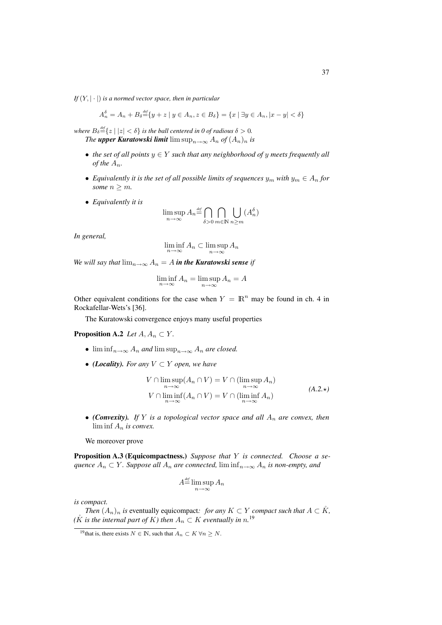*If*  $(Y, |\cdot|)$  *is a normed vector space, then in particular* 

$$
A_n^{\delta} = A_n + B_{\delta} \stackrel{\text{def}}{=} \{ y + z \mid y \in A_n, z \in B_{\delta} \} = \{ x \mid \exists y \in A_n, |x - y| < \delta \}
$$

*where*  $B_{\delta} \equiv \{z \mid |z| < \delta\}$  *is the ball centered in 0 of radious*  $\delta > 0$ *. The upper Kuratowski limit*  $\limsup_{n\to\infty} A_n$  *of*  $(A_n)_n$  *is* 

- *the set of all points* y ∈ Y *such that any neighborhood of* y *meets frequently all of the*  $A_n$ .
- *Equivalently it is the set of all possible limits of sequences*  $y_m$  *with*  $y_m \in A_n$  *for some*  $n \geq m$ *.*
- *Equivalently it is*

$$
\limsup_{n \to \infty} A_n \stackrel{\text{\tiny def}}{=} \bigcap_{\delta > 0} \bigcap_{m \in \mathbb{N}} \bigcup_{n \ge m} (A_n^{\delta})
$$

*In general,*

$$
\liminf_{n \to \infty} A_n \subset \limsup_{n \to \infty} A_n
$$

*We will say that*  $\lim_{n\to\infty} A_n = A$  *in the Kuratowski sense if* 

$$
\liminf_{n \to \infty} A_n = \limsup_{n \to \infty} A_n = A
$$

Other equivalent conditions for the case when  $Y = \mathbb{R}^n$  may be found in ch. 4 in Rockafellar-Wets's [36].

The Kuratowski convergence enjoys many useful properties

## **Proposition A.2** *Let*  $A, A_n \subset Y$ *.*

- $\liminf_{n\to\infty} A_n$  *and*  $\limsup_{n\to\infty} A_n$  *are closed.*
- *(Locality). For any*  $V \subset Y$  *open, we have*

$$
V \cap \limsup_{n \to \infty} (A_n \cap V) = V \cap (\limsup_{n \to \infty} A_n)
$$
  
\n
$$
V \cap \liminf_{n \to \infty} (A_n \cap V) = V \cap (\liminf_{n \to \infty} A_n)
$$
  
\n
$$
(A.2.*)
$$

• *(Convexity). If* Y *is a topological vector space and all* A<sup>n</sup> *are convex, then* lim inf A<sup>n</sup> *is convex.*

We moreover prove

Proposition A.3 (Equicompactness.) *Suppose that* Y *is connected. Choose a sequence*  $A_n \subset Y$ *. Suppose all*  $A_n$  *are connected,*  $\liminf_{n\to\infty} A_n$  *is non-empty, and* 

$$
A^{\text{def}}_{=}\limsup_{n\to\infty}A_n
$$

*is compact.*

*Then*  $(A_n)_n$  *is* eventually equicompact: for any  $K \subset Y$  *compact such that*  $A \subset K$ ,  $(K$  *is the internal part of*  $K$ *) then*  $A_n \subset K$  *eventually in*  $n$ <sup>19</sup>

<sup>&</sup>lt;sup>19</sup>that is, there exists  $N \in \mathbb{N}$ , such that  $A_n \subset K \forall n > N$ .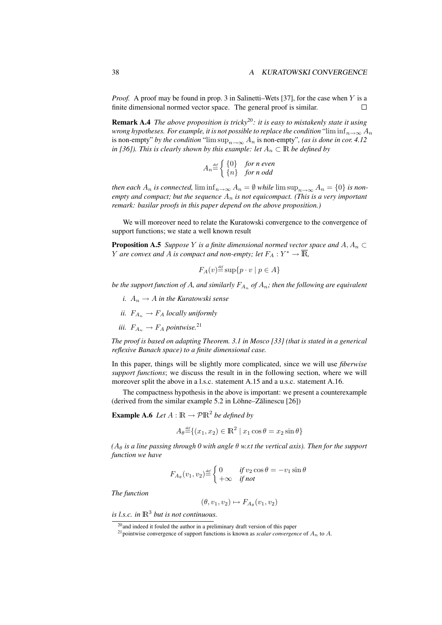*Proof.* A proof may be found in prop. 3 in Salinetti–Wets [37], for the case when Y is a finite dimensional normed vector space. The general proof is similar.  $\Box$ 

Remark A.4 *The above proposition is tricky*20*: it is easy to mistakenly state it using wrong hypotheses. For example, it is not possible to replace the condition* "lim  $\inf_{n\to\infty} A_n$ is non-empty" *by the condition* "lim  $\sup_{n\to\infty} A_n$  is non-empty", (as is done in cor. 4.12 *in [36]). This is clearly shown by this example: let*  $A_n \subset \mathbb{R}$  *be defined by* 

$$
A_n \stackrel{\text{\tiny def}}{=} \begin{cases} \{0\} & \text{for } n \text{ even} \\ \{n\} & \text{for } n \text{ odd} \end{cases}
$$

*then each*  $A_n$  *is connected,*  $\liminf_{n\to\infty} A_n = \emptyset$  *while*  $\limsup_{n\to\infty} A_n = \{0\}$  *is nonempty and compact; but the sequence*  $A_n$  *is not equicompact. (This is a very important remark: basilar proofs in this paper depend on the above proposition.)*

We will moreover need to relate the Kuratowski convergence to the convergence of support functions; we state a well known result

**Proposition A.5** *Suppose* Y *is a finite dimensional normed vector space and*  $A, A_n \subset$ *Y* are convex and A is compact and non-empty; let  $F_A: Y^* \to \overline{\mathbb{R}}$ ,

$$
F_A(v) \stackrel{\text{\tiny def}}{=} \sup\{p \cdot v \mid p \in A\}
$$

be the support function of  $A$ , and similarly  $F_{A_n}$  of  $A_n$ ; then the following are equivalent

- *i.*  $A_n \to A$  *in the Kuratowski sense*
- *ii.*  $F_{A_n} \to F_A$  *locally uniformly*
- *iii.*  $F_{A_n} \to F_A$  *pointwise.*<sup>21</sup>

*The proof is based on adapting Theorem. 3.1 in Mosco [33] (that is stated in a generical reflexive Banach space) to a finite dimensional case.*

In this paper, things will be slightly more complicated, since we will use *fiberwise support functions*; we discuss the result in in the following section, where we will moreover split the above in a l.s.c. statement A.15 and a u.s.c. statement A.16.

The compactness hypothesis in the above is important: we present a counterexample (derived from the similar example  $5.2$  in Löhne–Zălinescu  $[26]$ )

**Example A.6** Let  $A : \mathbb{R} \to \mathcal{P} \mathbb{R}^2$  be defined by

$$
A_{\theta} \stackrel{\text{\tiny def}}{=} \{ (x_1, x_2) \in \mathbb{R}^2 \mid x_1 \cos \theta = x_2 \sin \theta \}
$$

*(*A<sup>θ</sup> *is a line passing through 0 with angle* θ *w.r.t the vertical axis). Then for the support function we have*

$$
F_{A_{\theta}}(v_1, v_2) \stackrel{\text{\tiny def}}{=} \begin{cases} 0 & \text{if } v_2 \cos \theta = -v_1 \sin \theta \\ +\infty & \text{if not} \end{cases}
$$

*The function*

$$
(\theta, v_1, v_2) \mapsto F_{A_{\theta}}(v_1, v_2)
$$

*is l.s.c.* in  $\mathbb{R}^3$  but is not continuous.

<sup>&</sup>lt;sup>20</sup>and indeed it fouled the author in a preliminary draft version of this paper

<sup>&</sup>lt;sup>21</sup> pointwise convergence of support functions is known as *scalar convergence* of  $A_n$  to  $A$ .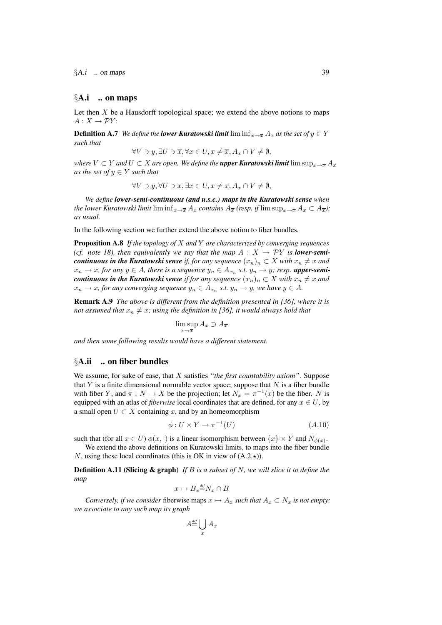$\S A.i$  ... on maps 39

## $\delta$ A.i .. on maps

Let then  $X$  be a Hausdorff topological space; we extend the above notions to maps  $A: X \rightarrow \mathcal{P}Y$ :

**Definition A.7** *We define the lower Kuratowski limit* lim  $\inf_{x\to\overline{x}} A_x$  *as the set of*  $y \in Y$ *such that*

$$
\forall V \ni y, \exists U \ni \overline{x}, \forall x \in U, x \neq \overline{x}, A_x \cap V \neq \emptyset,
$$

*where*  $V \subset Y$  *and*  $U \subset X$  *are open. We define the upper Kuratowski limit lim sup<sub>x→* $\overline{x}$  $A_x$ </sub> *as the set of*  $y \in Y$  *such that* 

$$
\forall V \ni y, \forall U \ni \overline{x}, \exists x \in U, x \neq \overline{x}, A_x \cap V \neq \emptyset,
$$

*We define lower-semi-continuous (and u.s.c.) maps in the Kuratowski sense when the lower Kuratowski limit* lim  $\inf_{x\to\overline{x}} A_x$  *contains*  $A_{\overline{x}}$  *(resp. if* lim  $\sup_{x\to\overline{x}} A_x \subset A_{\overline{x}}$ *); as usual.*

In the following section we further extend the above notion to fiber bundles.

Proposition A.8 *If the topology of* X *and* Y *are characterized by converging sequences (cf. note 18), then equivalently we say that the map*  $A: X \rightarrow PY$  *is lower-semicontinuous in the Kuratowski sense if, for any sequence*  $(x_n)_n \subset X$  *with*  $x_n \neq x$  *and*  $x_n \to x$ , for any  $y \in A$ , there is a sequence  $y_n \in A_{x_n}$  s.t.  $y_n \to y$ ; resp. **upper-semi***continuous in the Kuratowski sense if for any sequence*  $(x_n)_n \subset X$  *with*  $x_n \neq x$  *and*  $x_n \to x$ , for any converging sequence  $y_n \in A_{x_n}$  s.t.  $y_n \to y$ , we have  $y \in A$ .

Remark A.9 *The above is different from the definition presented in [36], where it is not assumed that*  $x_n \neq x$ *; using the definition in [36], it would always hold that* 

$$
\limsup_{x \to \overline{x}} A_x \supset A_{\overline{x}}
$$

*and then some following results would have a different statement.*

## §A.ii .. on fiber bundles

We assume, for sake of ease, that X satisfies *"the first countability axiom"*. Suppose that  $Y$  is a finite dimensional normable vector space; suppose that  $N$  is a fiber bundle with fiber Y, and  $\pi : N \to X$  be the projection; let  $N_x = \pi^{-1}(x)$  be the fiber. N is equipped with an atlas of *fiberwise* local coordinates that are defined, for any  $x \in U$ , by a small open  $U \subset X$  containing x, and by an homeomorphism

$$
\phi: U \times Y \to \pi^{-1}(U) \tag{A.10}
$$

such that (for all  $x \in U$ )  $\phi(x, \cdot)$  is a linear isomorphism between  $\{x\} \times Y$  and  $N_{\phi(x)}$ .

We extend the above definitions on Kuratowski limits, to maps into the fiber bundle N, using these local coordinates (this is OK in view of  $(A.2, \star)$ ).

Definition A.11 (Slicing & graph) *If* B *is a subset of* N*, we will slice it to define the map*

$$
x\mapsto B_x{\overset{\text{\tiny def}}{=}} N_x\cap B
$$

*Conversely, if we consider* fiberwise maps  $x \mapsto A_x$  *such that*  $A_x \subset N_x$  *is not empty*; *we associate to any such map its graph*

$$
A^{\text{def}}_{x} \bigcup_{x} A_{x}
$$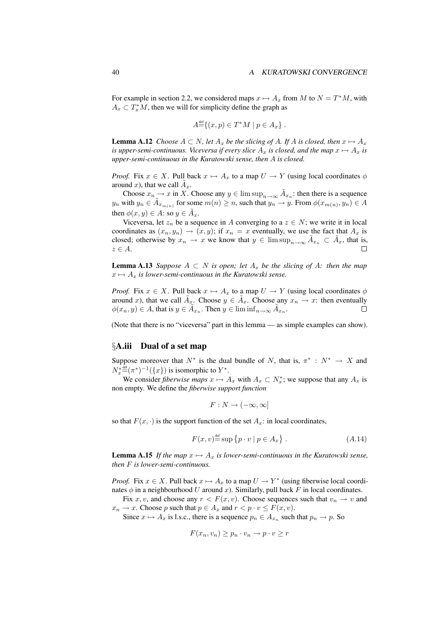For example in section 2.2, we considered maps  $x \mapsto A_x$  from M to  $N = T^*M$ , with  $A_x \,\subset T_x^*M$ , then we will for simplicity define the graph as

$$
A^{\text{def}} \{(x, p) \in T^*M \mid p \in A_x \}.
$$

**Lemma A.12** *Choose*  $A \subset N$ *, let*  $A_x$  *be the slicing of* A*. If* A *is closed, then*  $x \mapsto A_x$ *is upper-semi-continuous. Viceversa if every slice*  $A_x$  *is closed, and the map*  $x \mapsto A_x$  *is upper-semi-continuous in the Kuratowski sense, then* A *is closed.*

*Proof.* Fix  $x \in X$ . Pull back  $x \mapsto A_x$  to a map  $U \to Y$  (using local coordinates  $\phi$ around x), that we call  $\tilde{A}_x$ .

Choose  $x_n \to x$  in X. Choose any  $y \in \limsup_{n \to \infty} \tilde{A}_{x_n}$ : then there is a sequence  $y_n$  with  $y_n \in \tilde{A}_{x_{m(n)}}$  for some  $m(n) \geq n$ , such that  $y_n \to y$ . From  $\phi(x_{m(n)}, y_n) \in A$ then  $\phi(x, y) \in A$ : so  $y \in \tilde{A}_x$ .

Viceversa, let  $z_n$  be a sequence in A converging to a  $z \in N$ ; we write it in local coordinates as  $(x_n, y_n) \rightarrow (x, y)$ ; if  $x_n = x$  eventually, we use the fact that  $A_x$  is closed; otherwise by  $x_n \to x$  we know that  $y \in \limsup_{n \to \infty} \tilde{A}_{x_n} \subset \tilde{A}_x$ , that is,  $z \in A$ .  $\Box$ 

**Lemma A.13** *Suppose*  $A \subset N$  *is open; let*  $A_x$  *be the slicing of*  $A$ *: then the map*  $x \mapsto A_x$  *is lower-semi-continuous in the Kuratowski sense.* 

*Proof.* Fix  $x \in X$ . Pull back  $x \mapsto A_x$  to a map  $U \to Y$  (using local coordinates  $\phi$ around x), that we call  $\tilde{A}_x$ . Choose  $y \in \tilde{A}_x$ . Choose any  $x_n \to x$ : then eventually  $\phi(x_n, y) \in A$ , that is  $y \in \tilde{A}_{x_n}$ . Then  $y \in \liminf_{n \to \infty} \tilde{A}_{x_n}$ .

(Note that there is no "viceversa" part in this lemma — as simple examples can show).

## §A.iii Dual of a set map

Suppose moreover that  $N^*$  is the dual bundle of N, that is,  $\pi^* : N^* \to X$  and  $N_x^* \equiv (\pi^*)^{-1}(\lbrace x \rbrace)$  is isomorphic to  $Y^*$ .

We consider *fiberwise maps*  $x \mapsto A_x$  with  $A_x \subset N_x^*$ ; we suppose that any  $A_x$  is non empty. We define the *fiberwise support function*

$$
F: N \to (-\infty, \infty]
$$

so that  $F(x, \cdot)$  is the support function of the set  $A_x$ : in local coordinates,

$$
F(x, v) \stackrel{\text{def}}{=} \sup \{ p \cdot v \mid p \in A_x \} . \tag{A.14}
$$

**Lemma A.15** If the map  $x \mapsto A_x$  is lower-semi-continuous in the Kuratowski sense, *then* F *is lower-semi-continuous.*

*Proof.* Fix  $x \in X$ . Pull back  $x \mapsto A_x$  to a map  $U \to Y^*$  (using fiberwise local coordinates  $\phi$  in a neighbourhood U around x). Similarly, pull back F in local coordinates.

Fix x, v, and choose any  $r < F(x, v)$ . Choose sequences such that  $v_n \to v$  and  $x_n \to x$ . Choose p such that  $p \in A_x$  and  $r < p \cdot v \leq F(x, v)$ .

Since  $x \mapsto A_x$  is l.s.c., there is a sequence  $p_n \in A_{x_n}$  such that  $p_n \to p$ . So

$$
F(x_n, v_n) \ge p_n \cdot v_n \to p \cdot v \ge r
$$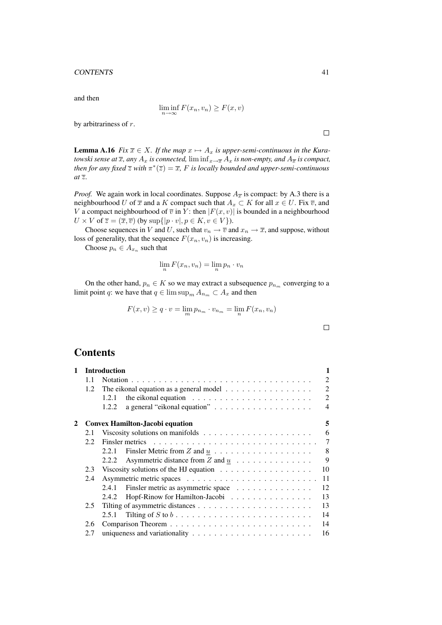#### CONTENTS 41

and then

$$
\liminf_{n \to \infty} F(x_n, v_n) \ge F(x, v)
$$

by arbitrariness of r.

**Lemma A.16** *Fix*  $\overline{x} \in X$ *. If the map*  $x \mapsto A_x$  *is upper-semi-continuous in the Kuratowski sense at*  $\overline{x}$ *, any*  $A_x$  *is connected,* lim inf $x \rightarrow \overline{x}$   $A_x$  *is non-empty, and*  $A_{\overline{x}}$  *is compact, then for any fixed*  $\overline{z}$  *with*  $\pi^*(\overline{z}) = \overline{x}$ , *F is locally bounded and upper-semi-continuous at* z*.*

*Proof.* We again work in local coordinates. Suppose  $A_{\overline{x}}$  is compact: by A.3 there is a neighbourhood U of  $\overline{x}$  and a K compact such that  $A_x \subset K$  for all  $x \in U$ . Fix  $\overline{v}$ , and V a compact neighbourhood of  $\overline{v}$  in Y: then  $|F(x, v)|$  is bounded in a neighbourhood  $U \times V$  of  $\overline{z} = (\overline{x}, \overline{v})$  (by  $\sup\{|p \cdot v|, p \in K, v \in V\}$ ).

Choose sequences in V and U, such that  $v_n \to \overline{v}$  and  $x_n \to \overline{x}$ , and suppose, without loss of generality, that the sequence  $F(x_n, v_n)$  is increasing.

Choose  $p_n \in A_{x_n}$  such that

$$
\lim_n F(x_n, v_n) = \lim_n p_n \cdot v_n
$$

On the other hand,  $p_n \in K$  so we may extract a subsequence  $p_{n_m}$  converging to a limit point q: we have that  $q \in \limsup_m A_{n_m} \subset A_x$  and then

$$
F(x, v) \ge q \cdot v = \lim_{m} p_{n_m} \cdot v_{n_m} = \lim_{n} F(x_n, v_n)
$$

$$
\qquad \qquad \Box
$$

## **Contents**

| 1 |               | <b>Introduction</b>                                                              | 1              |
|---|---------------|----------------------------------------------------------------------------------|----------------|
|   | 1.1           |                                                                                  | $\mathfrak{D}$ |
|   | $1.2^{\circ}$ | The eikonal equation as a general model                                          | $\mathfrak{D}$ |
|   |               | the eikonal equation $\ldots \ldots \ldots \ldots \ldots \ldots \ldots$<br>1.2.1 | $\mathfrak{D}$ |
|   |               | 1.2.2                                                                            | $\overline{4}$ |
| 2 |               | <b>Convex Hamilton-Jacobi equation</b>                                           | 5              |
|   | 2.1           | Viscosity solutions on manifolds $\dots \dots \dots \dots \dots \dots \dots$     | 6              |
|   | 2.2           |                                                                                  | 7              |
|   |               | 2.2.1                                                                            | 8              |
|   |               | Asymmetric distance from Z and $\underline{u}$<br>2.2.2                          | 9              |
|   | 2.3           |                                                                                  | 10             |
|   | 2.4           |                                                                                  | 11             |
|   |               | Finsler metric as asymmetric space<br>2.4.1                                      | 12             |
|   |               | Hopf-Rinow for Hamilton-Jacobi<br>2.4.2                                          | 13             |
|   | $2.5^{\circ}$ |                                                                                  | 13             |
|   |               | 2.5.1                                                                            | 14             |
|   | 2.6           |                                                                                  | 14             |
|   | 2.7           |                                                                                  | 16             |

 $\Box$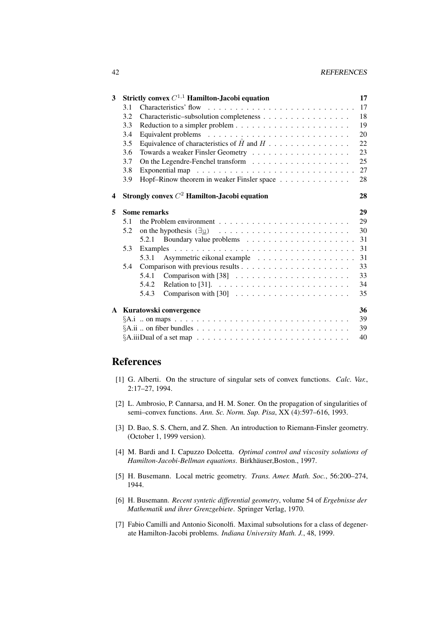#### 42 REFERENCES

| 3            |                        | Strictly convex $C^{1,1}$ Hamilton-Jacobi equation                                                                                     | 17 |  |  |  |  |
|--------------|------------------------|----------------------------------------------------------------------------------------------------------------------------------------|----|--|--|--|--|
|              | 3.1                    |                                                                                                                                        | 17 |  |  |  |  |
|              | 3.2                    | Characteristic-subsolution completeness                                                                                                | 18 |  |  |  |  |
|              | 3.3                    |                                                                                                                                        | 19 |  |  |  |  |
|              | 3.4                    |                                                                                                                                        | 20 |  |  |  |  |
|              | 3.5                    | Equivalence of characteristics of $\hat{H}$ and $H$                                                                                    | 22 |  |  |  |  |
|              | 3.6                    |                                                                                                                                        | 23 |  |  |  |  |
|              | 3.7                    |                                                                                                                                        | 25 |  |  |  |  |
|              | 3.8                    |                                                                                                                                        | 27 |  |  |  |  |
|              | 3.9                    | Hopf-Rinow theorem in weaker Finsler space                                                                                             | 28 |  |  |  |  |
| 4            |                        | Strongly convex $C^2$ Hamilton-Jacobi equation                                                                                         | 28 |  |  |  |  |
| 5            |                        | <b>Some remarks</b>                                                                                                                    | 29 |  |  |  |  |
|              | 5.1                    | the Problem environment $\ldots \ldots \ldots \ldots \ldots \ldots \ldots \ldots$                                                      | 29 |  |  |  |  |
|              | 5.2                    | on the hypothesis $(\exists \underline{u}) \quad \ldots \quad \ldots \quad \ldots \quad \ldots \quad \ldots \quad \ldots \quad \ldots$ | 30 |  |  |  |  |
|              |                        |                                                                                                                                        | 31 |  |  |  |  |
|              | 5.3                    |                                                                                                                                        | 31 |  |  |  |  |
|              |                        | 5.3.1                                                                                                                                  | 31 |  |  |  |  |
|              | 5.4                    |                                                                                                                                        | 33 |  |  |  |  |
|              |                        | 5.4.1                                                                                                                                  | 33 |  |  |  |  |
|              |                        | Relation to [31]. $\ldots \ldots \ldots \ldots \ldots \ldots \ldots \ldots$<br>5.4.2                                                   | 34 |  |  |  |  |
|              |                        | 5.4.3                                                                                                                                  | 35 |  |  |  |  |
| $\mathbf{A}$ | Kuratowski convergence |                                                                                                                                        |    |  |  |  |  |
|              |                        |                                                                                                                                        |    |  |  |  |  |
|              |                        |                                                                                                                                        | 39 |  |  |  |  |
|              |                        |                                                                                                                                        | 40 |  |  |  |  |

# References

- [1] G. Alberti. On the structure of singular sets of convex functions. *Calc. Var.*, 2:17–27, 1994.
- [2] L. Ambrosio, P. Cannarsa, and H. M. Soner. On the propagation of singularities of semi–convex functions. *Ann. Sc. Norm. Sup. Pisa*, XX (4):597–616, 1993.
- [3] D. Bao, S. S. Chern, and Z. Shen. An introduction to Riemann-Finsler geometry. (October 1, 1999 version).
- [4] M. Bardi and I. Capuzzo Dolcetta. *Optimal control and viscosity solutions of Hamilton-Jacobi-Bellman equations*. Birkhäuser, Boston., 1997.
- [5] H. Busemann. Local metric geometry. *Trans. Amer. Math. Soc.*, 56:200–274, 1944.
- [6] H. Busemann. *Recent syntetic differential geometry*, volume 54 of *Ergebnisse der Mathematik und ihrer Grenzgebiete*. Springer Verlag, 1970.
- [7] Fabio Camilli and Antonio Siconolfi. Maximal subsolutions for a class of degenerate Hamilton-Jacobi problems. *Indiana University Math. J.*, 48, 1999.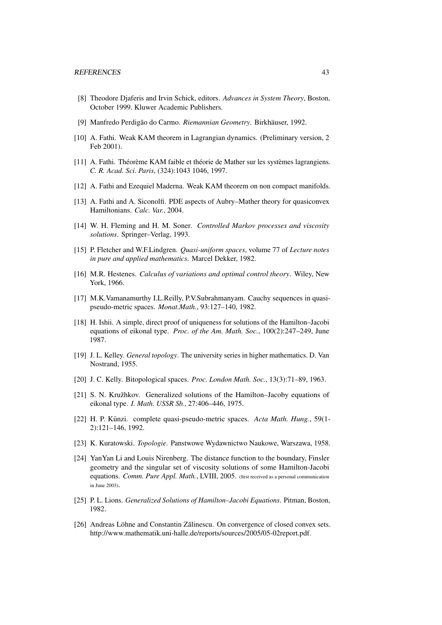- [8] Theodore Djaferis and Irvin Schick, editors. *Advances in System Theory*, Boston, October 1999. Kluwer Academic Publishers.
- [9] Manfredo Perdigão do Carmo. Riemannian Geometry. Birkhäuser, 1992.
- [10] A. Fathi. Weak KAM theorem in Lagrangian dynamics. (Preliminary version, 2 Feb 2001).
- [11] A. Fathi. Théorème KAM faible et théorie de Mather sur les systèmes lagrangiens. *C. R. Acad. Sci. Paris*, (324):1043 1046, 1997.
- [12] A. Fathi and Ezequiel Maderna. Weak KAM theorem on non compact manifolds.
- [13] A. Fathi and A. Siconolfi. PDE aspects of Aubry–Mather theory for quasiconvex Hamiltonians. *Calc. Var.*, 2004.
- [14] W. H. Fleming and H. M. Soner. *Controlled Markov processes and viscosity solutions*. Springer–Verlag, 1993.
- [15] P. Fletcher and W.F.Lindgren. *Quasi-uniform spaces*, volume 77 of *Lecture notes in pure and applied mathematics*. Marcel Dekker, 1982.
- [16] M.R. Hestenes. *Calculus of variations and optimal control theory*. Wiley, New York, 1966.
- [17] M.K.Vamanamurthy I.L.Reilly, P.V.Subrahmanyam. Cauchy sequences in quasipseudo-metric spaces. *Monat.Math.*, 93:127–140, 1982.
- [18] H. Ishii. A simple, direct proof of uniqueness for solutions of the Hamilton–Jacobi equations of eikonal type. *Proc. of the Am. Math. Soc.*, 100(2):247–249, June 1987.
- [19] J. L. Kelley. *General topology*. The university series in higher mathematics. D. Van Nostrand, 1955.
- [20] J. C. Kelly. Bitopological spaces. *Proc. London Math. Soc.*, 13(3):71–89, 1963.
- $[21]$  S. N. Kružhkov. Generalized solutions of the Hamilton–Jacoby equations of eikonal type. *I. Math. USSR Sb.*, 27:406–446, 1975.
- [22] H. P. Kunzi. complete quasi-pseudo-metric spaces. ¨ *Acta Math. Hung.*, 59(1- 2):121–146, 1992.
- [23] K. Kuratowski. *Topologie*. Panstwowe Wydawnictwo Naukowe, Warszawa, 1958.
- [24] YanYan Li and Louis Nirenberg. The distance function to the boundary, Finsler geometry and the singular set of viscosity solutions of some Hamilton-Jacobi equations. *Comm. Pure Appl. Math.*, LVIII, 2005. (first received as a personal communication in June 2003).
- [25] P. L. Lions. *Generalized Solutions of Hamilton–Jacobi Equations*. Pitman, Boston, 1982.
- [26] Andreas Löhne and Constantin Zălinescu. On convergence of closed convex sets. http://www.mathematik.uni-halle.de/reports/sources/2005/05-02report.pdf.